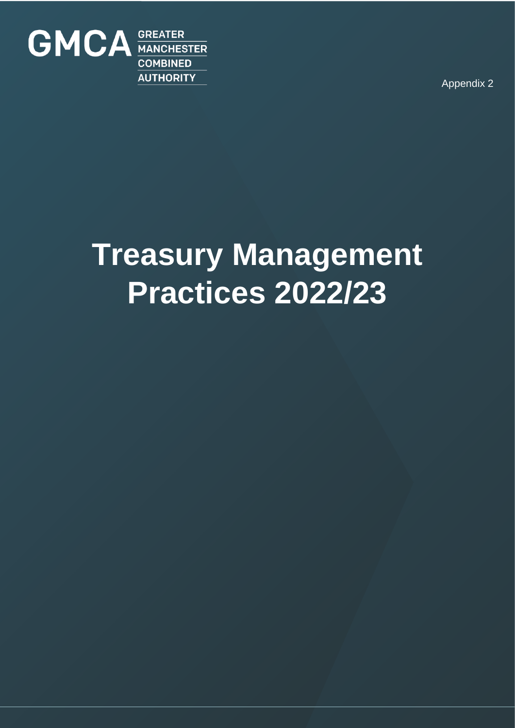

Appendix 2

# **Treasury Management Practices 2022/23**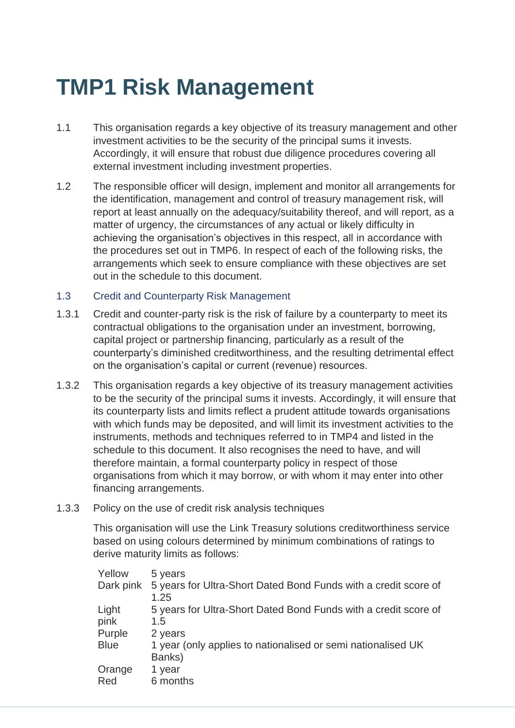### **TMP1 Risk Management**

- 1.1 This organisation regards a key objective of its treasury management and other investment activities to be the security of the principal sums it invests. Accordingly, it will ensure that robust due diligence procedures covering all external investment including investment properties.
- 1.2 The responsible officer will design, implement and monitor all arrangements for the identification, management and control of treasury management risk, will report at least annually on the adequacy/suitability thereof, and will report, as a matter of urgency, the circumstances of any actual or likely difficulty in achieving the organisation's objectives in this respect, all in accordance with the procedures set out in TMP6. In respect of each of the following risks, the arrangements which seek to ensure compliance with these objectives are set out in the schedule to this document.

#### 1.3 Credit and Counterparty Risk Management

- 1.3.1 Credit and counter-party risk is the risk of failure by a counterparty to meet its contractual obligations to the organisation under an investment, borrowing, capital project or partnership financing, particularly as a result of the counterparty's diminished creditworthiness, and the resulting detrimental effect on the organisation's capital or current (revenue) resources.
- 1.3.2 This organisation regards a key objective of its treasury management activities to be the security of the principal sums it invests. Accordingly, it will ensure that its counterparty lists and limits reflect a prudent attitude towards organisations with which funds may be deposited, and will limit its investment activities to the instruments, methods and techniques referred to in TMP4 and listed in the schedule to this document. It also recognises the need to have, and will therefore maintain, a formal counterparty policy in respect of those organisations from which it may borrow, or with whom it may enter into other financing arrangements.
- 1.3.3 Policy on the use of credit risk analysis techniques

This organisation will use the Link Treasury solutions creditworthiness service based on using colours determined by minimum combinations of ratings to derive maturity limits as follows:

| Yellow      | 5 years                                                                           |
|-------------|-----------------------------------------------------------------------------------|
|             | Dark pink 5 years for Ultra-Short Dated Bond Funds with a credit score of<br>1.25 |
| Light       | 5 years for Ultra-Short Dated Bond Funds with a credit score of                   |
| pink        | 1.5                                                                               |
| Purple      | 2 years                                                                           |
| <b>Blue</b> | 1 year (only applies to nationalised or semi nationalised UK<br>Banks)            |
| Orange      | 1 year                                                                            |
| Red         | 6 months                                                                          |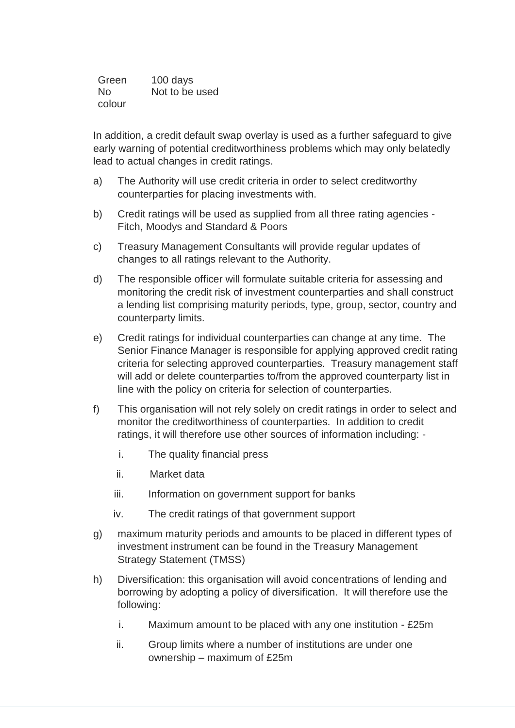Green 100 days No colour Not to be used

In addition, a credit default swap overlay is used as a further safeguard to give early warning of potential creditworthiness problems which may only belatedly lead to actual changes in credit ratings.

- a) The Authority will use credit criteria in order to select creditworthy counterparties for placing investments with.
- b) Credit ratings will be used as supplied from all three rating agencies Fitch, Moodys and Standard & Poors
- c) Treasury Management Consultants will provide regular updates of changes to all ratings relevant to the Authority.
- d) The responsible officer will formulate suitable criteria for assessing and monitoring the credit risk of investment counterparties and shall construct a lending list comprising maturity periods, type, group, sector, country and counterparty limits.
- e) Credit ratings for individual counterparties can change at any time. The Senior Finance Manager is responsible for applying approved credit rating criteria for selecting approved counterparties. Treasury management staff will add or delete counterparties to/from the approved counterparty list in line with the policy on criteria for selection of counterparties.
- f) This organisation will not rely solely on credit ratings in order to select and monitor the creditworthiness of counterparties. In addition to credit ratings, it will therefore use other sources of information including:
	- i. The quality financial press
	- ii. Market data
	- iii. Information on government support for banks
	- iv. The credit ratings of that government support
- g) maximum maturity periods and amounts to be placed in different types of investment instrument can be found in the Treasury Management Strategy Statement (TMSS)
- h) Diversification: this organisation will avoid concentrations of lending and borrowing by adopting a policy of diversification. It will therefore use the following:
	- i. Maximum amount to be placed with any one institution £25m
	- ii. Group limits where a number of institutions are under one ownership – maximum of £25m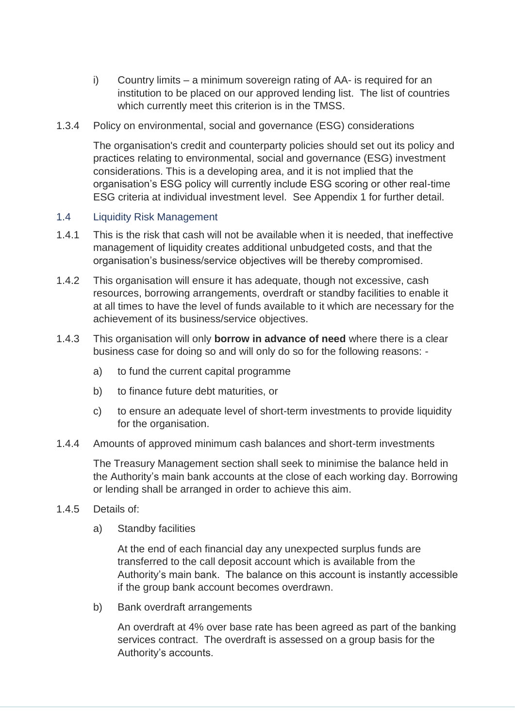- i) Country limits a minimum sovereign rating of AA- is required for an institution to be placed on our approved lending list. The list of countries which currently meet this criterion is in the TMSS.
- 1.3.4 Policy on environmental, social and governance (ESG) considerations

The organisation's credit and counterparty policies should set out its policy and practices relating to environmental, social and governance (ESG) investment considerations. This is a developing area, and it is not implied that the organisation's ESG policy will currently include ESG scoring or other real-time ESG criteria at individual investment level. See Appendix 1 for further detail.

#### 1.4 Liquidity Risk Management

- 1.4.1 This is the risk that cash will not be available when it is needed, that ineffective management of liquidity creates additional unbudgeted costs, and that the organisation's business/service objectives will be thereby compromised.
- 1.4.2 This organisation will ensure it has adequate, though not excessive, cash resources, borrowing arrangements, overdraft or standby facilities to enable it at all times to have the level of funds available to it which are necessary for the achievement of its business/service objectives.
- 1.4.3 This organisation will only **borrow in advance of need** where there is a clear business case for doing so and will only do so for the following reasons:
	- a) to fund the current capital programme
	- b) to finance future debt maturities, or
	- c) to ensure an adequate level of short-term investments to provide liquidity for the organisation.
- 1.4.4 Amounts of approved minimum cash balances and short-term investments

The Treasury Management section shall seek to minimise the balance held in the Authority's main bank accounts at the close of each working day. Borrowing or lending shall be arranged in order to achieve this aim.

- 1.4.5 Details of:
	- a) Standby facilities

At the end of each financial day any unexpected surplus funds are transferred to the call deposit account which is available from the Authority's main bank. The balance on this account is instantly accessible if the group bank account becomes overdrawn.

b) Bank overdraft arrangements

An overdraft at 4% over base rate has been agreed as part of the banking services contract. The overdraft is assessed on a group basis for the Authority's accounts.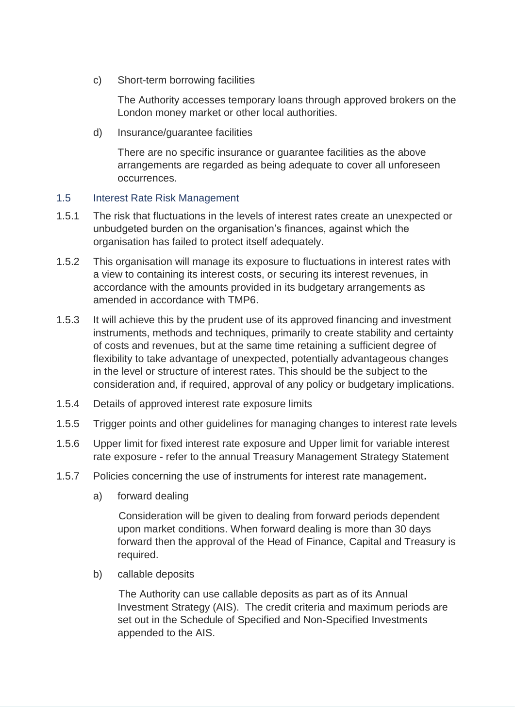c) Short-term borrowing facilities

The Authority accesses temporary loans through approved brokers on the London money market or other local authorities.

d) Insurance/guarantee facilities

There are no specific insurance or guarantee facilities as the above arrangements are regarded as being adequate to cover all unforeseen occurrences.

#### 1.5 Interest Rate Risk Management

- 1.5.1 The risk that fluctuations in the levels of interest rates create an unexpected or unbudgeted burden on the organisation's finances, against which the organisation has failed to protect itself adequately.
- 1.5.2 This organisation will manage its exposure to fluctuations in interest rates with a view to containing its interest costs, or securing its interest revenues, in accordance with the amounts provided in its budgetary arrangements as amended in accordance with TMP6.
- 1.5.3 It will achieve this by the prudent use of its approved financing and investment instruments, methods and techniques, primarily to create stability and certainty of costs and revenues, but at the same time retaining a sufficient degree of flexibility to take advantage of unexpected, potentially advantageous changes in the level or structure of interest rates. This should be the subject to the consideration and, if required, approval of any policy or budgetary implications.
- 1.5.4 Details of approved interest rate exposure limits
- 1.5.5 Trigger points and other guidelines for managing changes to interest rate levels
- 1.5.6 Upper limit for fixed interest rate exposure and Upper limit for variable interest rate exposure - refer to the annual Treasury Management Strategy Statement
- 1.5.7 Policies concerning the use of instruments for interest rate management**.**
	- a) forward dealing

Consideration will be given to dealing from forward periods dependent upon market conditions. When forward dealing is more than 30 days forward then the approval of the Head of Finance, Capital and Treasury is required.

b) callable deposits

The Authority can use callable deposits as part as of its Annual Investment Strategy (AIS). The credit criteria and maximum periods are set out in the Schedule of Specified and Non-Specified Investments appended to the AIS.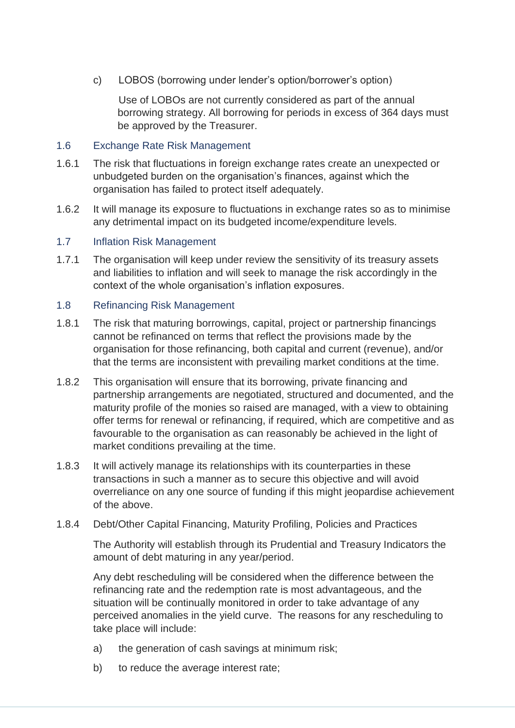c) LOBOS (borrowing under lender's option/borrower's option)

Use of LOBOs are not currently considered as part of the annual borrowing strategy. All borrowing for periods in excess of 364 days must be approved by the Treasurer.

#### 1.6 Exchange Rate Risk Management

- 1.6.1 The risk that fluctuations in foreign exchange rates create an unexpected or unbudgeted burden on the organisation's finances, against which the organisation has failed to protect itself adequately.
- 1.6.2 It will manage its exposure to fluctuations in exchange rates so as to minimise any detrimental impact on its budgeted income/expenditure levels.

#### 1.7 Inflation Risk Management

1.7.1 The organisation will keep under review the sensitivity of its treasury assets and liabilities to inflation and will seek to manage the risk accordingly in the context of the whole organisation's inflation exposures.

#### 1.8 Refinancing Risk Management

- 1.8.1 The risk that maturing borrowings, capital, project or partnership financings cannot be refinanced on terms that reflect the provisions made by the organisation for those refinancing, both capital and current (revenue), and/or that the terms are inconsistent with prevailing market conditions at the time.
- 1.8.2 This organisation will ensure that its borrowing, private financing and partnership arrangements are negotiated, structured and documented, and the maturity profile of the monies so raised are managed, with a view to obtaining offer terms for renewal or refinancing, if required, which are competitive and as favourable to the organisation as can reasonably be achieved in the light of market conditions prevailing at the time.
- 1.8.3 It will actively manage its relationships with its counterparties in these transactions in such a manner as to secure this objective and will avoid overreliance on any one source of funding if this might jeopardise achievement of the above.
- 1.8.4 Debt/Other Capital Financing, Maturity Profiling, Policies and Practices

The Authority will establish through its Prudential and Treasury Indicators the amount of debt maturing in any year/period.

Any debt rescheduling will be considered when the difference between the refinancing rate and the redemption rate is most advantageous, and the situation will be continually monitored in order to take advantage of any perceived anomalies in the yield curve. The reasons for any rescheduling to take place will include:

- a) the generation of cash savings at minimum risk;
- b) to reduce the average interest rate;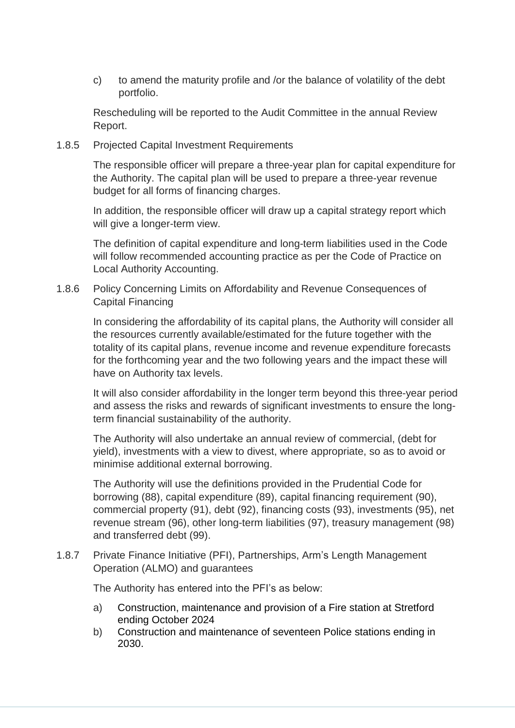c) to amend the maturity profile and /or the balance of volatility of the debt portfolio.

Rescheduling will be reported to the Audit Committee in the annual Review Report.

1.8.5 Projected Capital Investment Requirements

The responsible officer will prepare a three-year plan for capital expenditure for the Authority. The capital plan will be used to prepare a three-year revenue budget for all forms of financing charges.

In addition, the responsible officer will draw up a capital strategy report which will give a longer-term view.

The definition of capital expenditure and long-term liabilities used in the Code will follow recommended accounting practice as per the Code of Practice on Local Authority Accounting.

1.8.6 Policy Concerning Limits on Affordability and Revenue Consequences of Capital Financing

In considering the affordability of its capital plans, the Authority will consider all the resources currently available/estimated for the future together with the totality of its capital plans, revenue income and revenue expenditure forecasts for the forthcoming year and the two following years and the impact these will have on Authority tax levels.

It will also consider affordability in the longer term beyond this three-year period and assess the risks and rewards of significant investments to ensure the longterm financial sustainability of the authority.

The Authority will also undertake an annual review of commercial, (debt for yield), investments with a view to divest, where appropriate, so as to avoid or minimise additional external borrowing.

The Authority will use the definitions provided in the Prudential Code for borrowing (88), capital expenditure (89), capital financing requirement (90), commercial property (91), debt (92), financing costs (93), investments (95), net revenue stream (96), other long-term liabilities (97), treasury management (98) and transferred debt (99).

1.8.7 Private Finance Initiative (PFI), Partnerships, Arm's Length Management Operation (ALMO) and guarantees

The Authority has entered into the PFI's as below:

- a) Construction, maintenance and provision of a Fire station at Stretford ending October 2024
- b) Construction and maintenance of seventeen Police stations ending in 2030.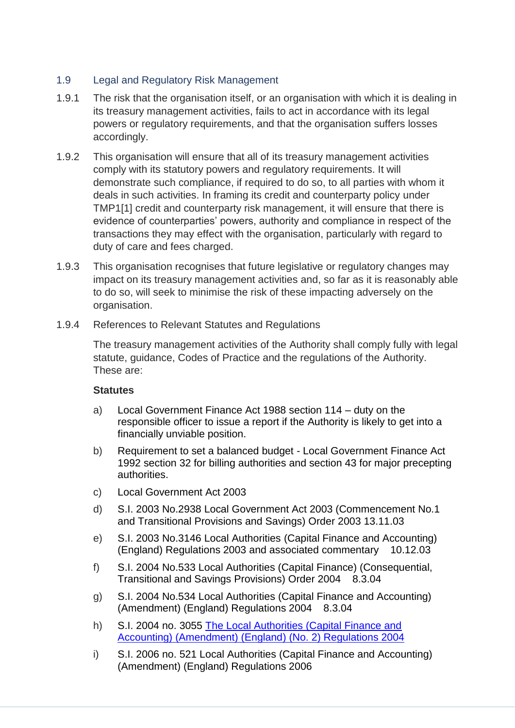#### 1.9 Legal and Regulatory Risk Management

- 1.9.1 The risk that the organisation itself, or an organisation with which it is dealing in its treasury management activities, fails to act in accordance with its legal powers or regulatory requirements, and that the organisation suffers losses accordingly.
- 1.9.2 This organisation will ensure that all of its treasury management activities comply with its statutory powers and regulatory requirements. It will demonstrate such compliance, if required to do so, to all parties with whom it deals in such activities. In framing its credit and counterparty policy under TMP1[1] credit and counterparty risk management, it will ensure that there is evidence of counterparties' powers, authority and compliance in respect of the transactions they may effect with the organisation, particularly with regard to duty of care and fees charged.
- 1.9.3 This organisation recognises that future legislative or regulatory changes may impact on its treasury management activities and, so far as it is reasonably able to do so, will seek to minimise the risk of these impacting adversely on the organisation.
- 1.9.4 References to Relevant Statutes and Regulations

The treasury management activities of the Authority shall comply fully with legal statute, guidance, Codes of Practice and the regulations of the Authority. These are:

#### **Statutes**

- a) Local Government Finance Act 1988 section 114 duty on the responsible officer to issue a report if the Authority is likely to get into a financially unviable position.
- b) Requirement to set a balanced budget Local Government Finance Act 1992 section 32 for billing authorities and section 43 for major precepting authorities.
- c) Local Government Act 2003
- d) S.I. 2003 No.2938 Local Government Act 2003 (Commencement No.1 and Transitional Provisions and Savings) Order 2003 13.11.03
- e) S.I. 2003 No.3146 Local Authorities (Capital Finance and Accounting) (England) Regulations 2003 and associated commentary 10.12.03
- f) S.I. 2004 No.533 Local Authorities (Capital Finance) (Consequential, Transitional and Savings Provisions) Order 2004 8.3.04
- g) S.I. 2004 No.534 Local Authorities (Capital Finance and Accounting) (Amendment) (England) Regulations 2004 8.3.04
- h) S.I. 2004 no. 3055 [The Local Authorities \(Capital Finance and](http://www.legislation.gov.uk/uksi/2004/3055/contents/made)  [Accounting\) \(Amendment\) \(England\) \(No. 2\) Regulations 2004](http://www.legislation.gov.uk/uksi/2004/3055/contents/made)
- i) S.I. 2006 no. 521 Local Authorities (Capital Finance and Accounting) (Amendment) (England) Regulations 2006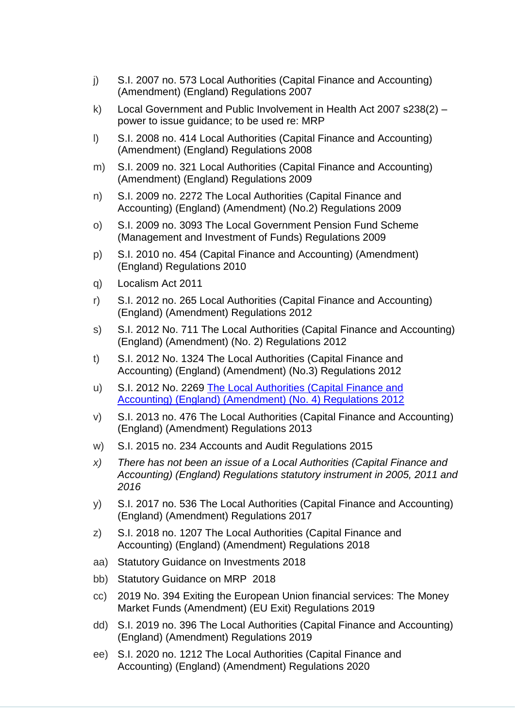- j) S.I. 2007 no. 573 Local Authorities (Capital Finance and Accounting) (Amendment) (England) Regulations 2007
- k) Local Government and Public Involvement in Health Act 2007 s238(2) power to issue guidance; to be used re: MRP
- l) S.I. 2008 no. 414 Local Authorities (Capital Finance and Accounting) (Amendment) (England) Regulations 2008
- m) S.I. 2009 no. 321 Local Authorities (Capital Finance and Accounting) (Amendment) (England) Regulations 2009
- n) S.I. 2009 no. 2272 The Local Authorities (Capital Finance and Accounting) (England) (Amendment) (No.2) Regulations 2009
- o) S.I. 2009 no. 3093 The Local Government Pension Fund Scheme (Management and Investment of Funds) Regulations 2009
- p) S.I. 2010 no. 454 (Capital Finance and Accounting) (Amendment) (England) Regulations 2010
- q) Localism Act 2011
- r) S.I. 2012 no. 265 Local Authorities (Capital Finance and Accounting) (England) (Amendment) Regulations 2012
- s) S.I. 2012 No. 711 The Local Authorities (Capital Finance and Accounting) (England) (Amendment) (No. 2) Regulations 2012
- t) S.I. 2012 No. 1324 The Local Authorities (Capital Finance and Accounting) (England) (Amendment) (No.3) Regulations 2012
- u) S.I. 2012 No. 2269 [The Local Authorities \(Capital Finance and](http://www.legislation.gov.uk/uksi/2012/2269/contents/made)  [Accounting\) \(England\) \(Amendment\) \(No. 4\) Regulations 2012](http://www.legislation.gov.uk/uksi/2012/2269/contents/made)
- v) S.I. 2013 no. 476 The Local Authorities (Capital Finance and Accounting) (England) (Amendment) Regulations 2013
- w) S.I. 2015 no. 234 Accounts and Audit Regulations 2015
- *x) There has not been an issue of a Local Authorities (Capital Finance and Accounting) (England) Regulations statutory instrument in 2005, 2011 and 2016*
- y) S.I. 2017 no. 536 The Local Authorities (Capital Finance and Accounting) (England) (Amendment) Regulations 2017
- z) S.I. 2018 no. 1207 The Local Authorities (Capital Finance and Accounting) (England) (Amendment) Regulations 2018
- aa) Statutory Guidance on Investments 2018
- bb) Statutory Guidance on MRP 2018
- cc) 2019 No. 394 Exiting the European Union financial services: The Money Market Funds (Amendment) (EU Exit) Regulations 2019
- dd) S.I. 2019 no. 396 The Local Authorities (Capital Finance and Accounting) (England) (Amendment) Regulations 2019
- ee) S.I. 2020 no. 1212 The Local Authorities (Capital Finance and Accounting) (England) (Amendment) Regulations 2020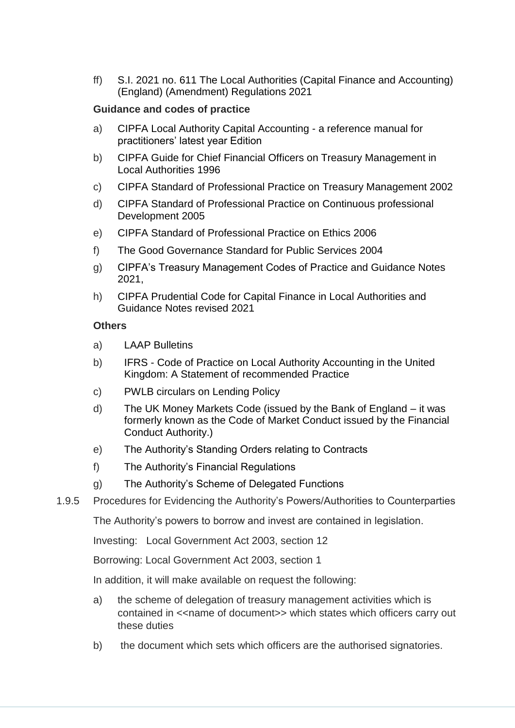ff) S.I. 2021 no. 611 The Local Authorities (Capital Finance and Accounting) (England) (Amendment) Regulations 2021

#### **Guidance and codes of practice**

- a) CIPFA Local Authority Capital Accounting a reference manual for practitioners' latest year Edition
- b) CIPFA Guide for Chief Financial Officers on Treasury Management in Local Authorities 1996
- c) CIPFA Standard of Professional Practice on Treasury Management 2002
- d) CIPFA Standard of Professional Practice on Continuous professional Development 2005
- e) CIPFA Standard of Professional Practice on Ethics 2006
- f) The Good Governance Standard for Public Services 2004
- g) CIPFA's Treasury Management Codes of Practice and Guidance Notes 2021,
- h) CIPFA Prudential Code for Capital Finance in Local Authorities and Guidance Notes revised 2021

#### **Others**

- a) LAAP Bulletins
- b) IFRS Code of Practice on Local Authority Accounting in the United Kingdom: A Statement of recommended Practice
- c) PWLB circulars on Lending Policy
- d) The UK Money Markets Code (issued by the Bank of England it was formerly known as the Code of Market Conduct issued by the Financial Conduct Authority.)
- e) The Authority's Standing Orders relating to Contracts
- f) The Authority's Financial Regulations
- g) The Authority's Scheme of Delegated Functions
- 1.9.5 Procedures for Evidencing the Authority's Powers/Authorities to Counterparties

The Authority's powers to borrow and invest are contained in legislation.

Investing: Local Government Act 2003, section 12

Borrowing: Local Government Act 2003, section 1

In addition, it will make available on request the following:

- a) the scheme of delegation of treasury management activities which is contained in << name of document >> which states which officers carry out these duties
- b) the document which sets which officers are the authorised signatories.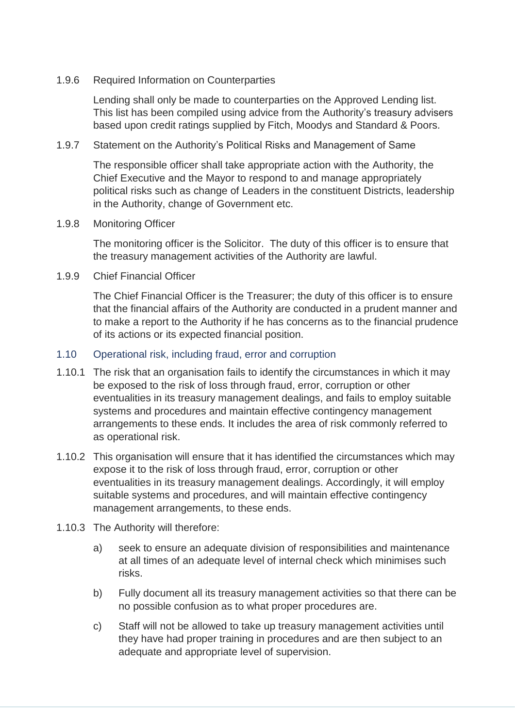#### 1.9.6 Required Information on Counterparties

Lending shall only be made to counterparties on the Approved Lending list. This list has been compiled using advice from the Authority's treasury advisers based upon credit ratings supplied by Fitch, Moodys and Standard & Poors*.*

1.9.7 Statement on the Authority's Political Risks and Management of Same

The responsible officer shall take appropriate action with the Authority, the Chief Executive and the Mayor to respond to and manage appropriately political risks such as change of Leaders in the constituent Districts, leadership in the Authority, change of Government etc.

1.9.8 Monitoring Officer

The monitoring officer is the Solicitor. The duty of this officer is to ensure that the treasury management activities of the Authority are lawful.

1.9.9 Chief Financial Officer

The Chief Financial Officer is the Treasurer; the duty of this officer is to ensure that the financial affairs of the Authority are conducted in a prudent manner and to make a report to the Authority if he has concerns as to the financial prudence of its actions or its expected financial position.

#### 1.10 Operational risk, including fraud, error and corruption

- 1.10.1 The risk that an organisation fails to identify the circumstances in which it may be exposed to the risk of loss through fraud, error, corruption or other eventualities in its treasury management dealings, and fails to employ suitable systems and procedures and maintain effective contingency management arrangements to these ends. It includes the area of risk commonly referred to as operational risk.
- 1.10.2 This organisation will ensure that it has identified the circumstances which may expose it to the risk of loss through fraud, error, corruption or other eventualities in its treasury management dealings. Accordingly, it will employ suitable systems and procedures, and will maintain effective contingency management arrangements, to these ends.
- 1.10.3 The Authority will therefore:
	- a) seek to ensure an adequate division of responsibilities and maintenance at all times of an adequate level of internal check which minimises such risks.
	- b) Fully document all its treasury management activities so that there can be no possible confusion as to what proper procedures are.
	- c) Staff will not be allowed to take up treasury management activities until they have had proper training in procedures and are then subject to an adequate and appropriate level of supervision.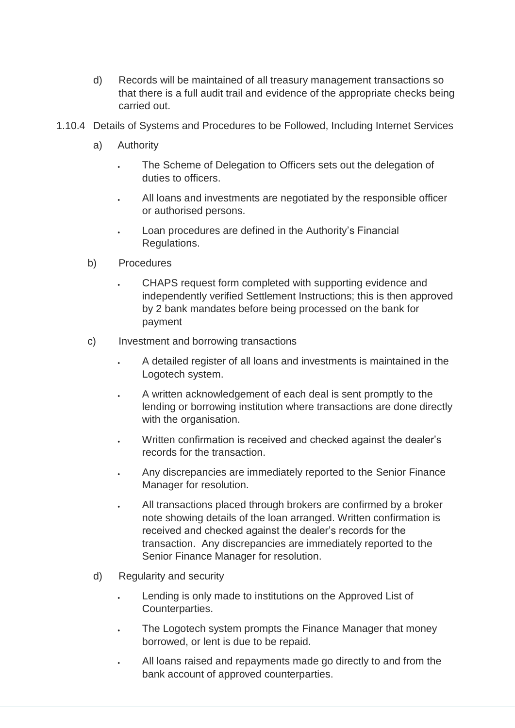- d) Records will be maintained of all treasury management transactions so that there is a full audit trail and evidence of the appropriate checks being carried out.
- 1.10.4 Details of Systems and Procedures to be Followed, Including Internet Services
	- a) Authority
		- The Scheme of Delegation to Officers sets out the delegation of duties to officers.
		- All loans and investments are negotiated by the responsible officer or authorised persons.
		- Loan procedures are defined in the Authority's Financial Regulations.
	- b) Procedures
		- CHAPS request form completed with supporting evidence and independently verified Settlement Instructions; this is then approved by 2 bank mandates before being processed on the bank for payment
	- c) Investment and borrowing transactions
		- A detailed register of all loans and investments is maintained in the Logotech system.
		- A written acknowledgement of each deal is sent promptly to the lending or borrowing institution where transactions are done directly with the organisation.
		- Written confirmation is received and checked against the dealer's records for the transaction.
		- Any discrepancies are immediately reported to the Senior Finance Manager for resolution.
		- All transactions placed through brokers are confirmed by a broker note showing details of the loan arranged. Written confirmation is received and checked against the dealer's records for the transaction. Any discrepancies are immediately reported to the Senior Finance Manager for resolution.
		- d) Regularity and security
			- Lending is only made to institutions on the Approved List of Counterparties.
			- The Logotech system prompts the Finance Manager that money borrowed, or lent is due to be repaid.
			- All loans raised and repayments made go directly to and from the bank account of approved counterparties.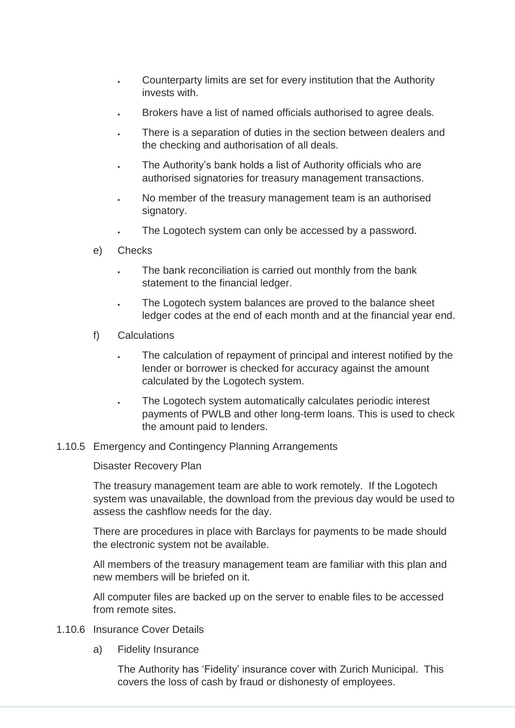- Counterparty limits are set for every institution that the Authority invests with.
- Brokers have a list of named officials authorised to agree deals.
- There is a separation of duties in the section between dealers and the checking and authorisation of all deals.
- The Authority's bank holds a list of Authority officials who are authorised signatories for treasury management transactions.
- No member of the treasury management team is an authorised signatory.
- The Logotech system can only be accessed by a password.
- e) Checks
	- The bank reconciliation is carried out monthly from the bank statement to the financial ledger.
	- The Logotech system balances are proved to the balance sheet ledger codes at the end of each month and at the financial year end.
- f) Calculations
	- The calculation of repayment of principal and interest notified by the lender or borrower is checked for accuracy against the amount calculated by the Logotech system.
	- The Logotech system automatically calculates periodic interest payments of PWLB and other long-term loans. This is used to check the amount paid to lenders.
- 1.10.5 Emergency and Contingency Planning Arrangements

Disaster Recovery Plan

The treasury management team are able to work remotely. If the Logotech system was unavailable, the download from the previous day would be used to assess the cashflow needs for the day.

There are procedures in place with Barclays for payments to be made should the electronic system not be available.

All members of the treasury management team are familiar with this plan and new members will be briefed on it.

All computer files are backed up on the server to enable files to be accessed from remote sites.

- 1.10.6 Insurance Cover Details
	- a) Fidelity Insurance

The Authority has 'Fidelity' insurance cover with Zurich Municipal. This covers the loss of cash by fraud or dishonesty of employees.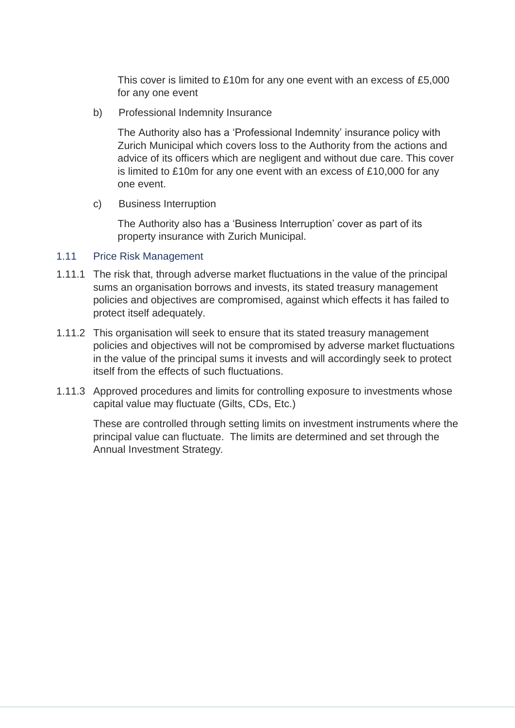This cover is limited to £10m for any one event with an excess of £5,000 for any one event

b) Professional Indemnity Insurance

The Authority also has a 'Professional Indemnity' insurance policy with Zurich Municipal which covers loss to the Authority from the actions and advice of its officers which are negligent and without due care. This cover is limited to £10m for any one event with an excess of £10,000 for any one event.

c) Business Interruption

The Authority also has a 'Business Interruption' cover as part of its property insurance with Zurich Municipal.

#### 1.11 Price Risk Management

- 1.11.1 The risk that, through adverse market fluctuations in the value of the principal sums an organisation borrows and invests, its stated treasury management policies and objectives are compromised, against which effects it has failed to protect itself adequately.
- 1.11.2 This organisation will seek to ensure that its stated treasury management policies and objectives will not be compromised by adverse market fluctuations in the value of the principal sums it invests and will accordingly seek to protect itself from the effects of such fluctuations.
- 1.11.3 Approved procedures and limits for controlling exposure to investments whose capital value may fluctuate (Gilts, CDs, Etc.)

These are controlled through setting limits on investment instruments where the principal value can fluctuate. The limits are determined and set through the Annual Investment Strategy*.*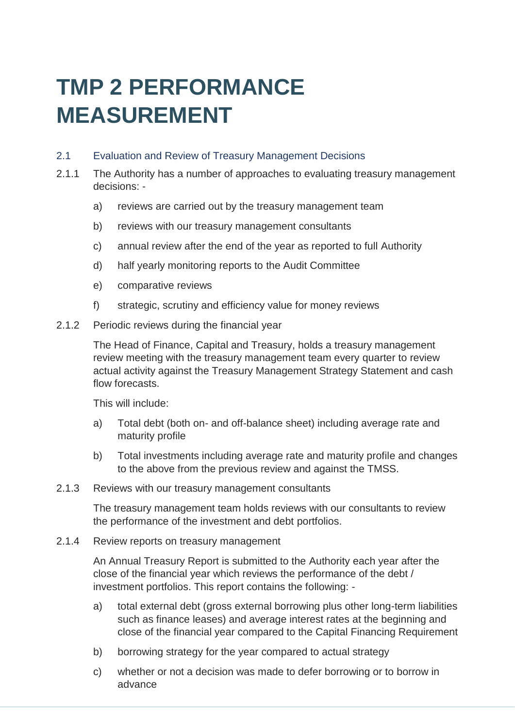### **TMP 2 PERFORMANCE MEASUREMENT**

#### 2.1 Evaluation and Review of Treasury Management Decisions

- 2.1.1 The Authority has a number of approaches to evaluating treasury management decisions:
	- a) reviews are carried out by the treasury management team
	- b) reviews with our treasury management consultants
	- c) annual review after the end of the year as reported to full Authority
	- d) half yearly monitoring reports to the Audit Committee
	- e) comparative reviews
	- f) strategic, scrutiny and efficiency value for money reviews
- 2.1.2 Periodic reviews during the financial year

The Head of Finance, Capital and Treasury, holds a treasury management review meeting with the treasury management team every quarter to review actual activity against the Treasury Management Strategy Statement and cash flow forecasts

This will include:

- a) Total debt (both on- and off-balance sheet) including average rate and maturity profile
- b) Total investments including average rate and maturity profile and changes to the above from the previous review and against the TMSS.
- 2.1.3 Reviews with our treasury management consultants

The treasury management team holds reviews with our consultants to review the performance of the investment and debt portfolios.

2.1.4 Review reports on treasury management

An Annual Treasury Report is submitted to the Authority each year after the close of the financial year which reviews the performance of the debt / investment portfolios. This report contains the following: -

- a) total external debt (gross external borrowing plus other long-term liabilities such as finance leases) and average interest rates at the beginning and close of the financial year compared to the Capital Financing Requirement
- b) borrowing strategy for the year compared to actual strategy
- c) whether or not a decision was made to defer borrowing or to borrow in advance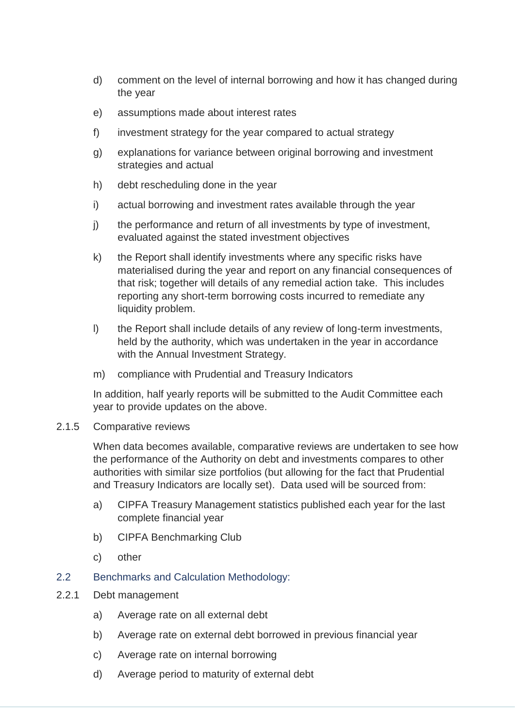- d) comment on the level of internal borrowing and how it has changed during the year
- e) assumptions made about interest rates
- f) investment strategy for the year compared to actual strategy
- g) explanations for variance between original borrowing and investment strategies and actual
- h) debt rescheduling done in the year
- i) actual borrowing and investment rates available through the year
- j) the performance and return of all investments by type of investment, evaluated against the stated investment objectives
- k) the Report shall identify investments where any specific risks have materialised during the year and report on any financial consequences of that risk; together will details of any remedial action take. This includes reporting any short-term borrowing costs incurred to remediate any liquidity problem.
- l) the Report shall include details of any review of long-term investments, held by the authority, which was undertaken in the year in accordance with the Annual Investment Strategy.
- m) compliance with Prudential and Treasury Indicators

In addition, half yearly reports will be submitted to the Audit Committee each year to provide updates on the above.

2.1.5 Comparative reviews

When data becomes available, comparative reviews are undertaken to see how the performance of the Authority on debt and investments compares to other authorities with similar size portfolios (but allowing for the fact that Prudential and Treasury Indicators are locally set). Data used will be sourced from:

- a) CIPFA Treasury Management statistics published each year for the last complete financial year
- b) CIPFA Benchmarking Club
- c) other
- 2.2 Benchmarks and Calculation Methodology:
- 2.2.1 Debt management
	- a) Average rate on all external debt
	- b) Average rate on external debt borrowed in previous financial year
	- c) Average rate on internal borrowing
	- d) Average period to maturity of external debt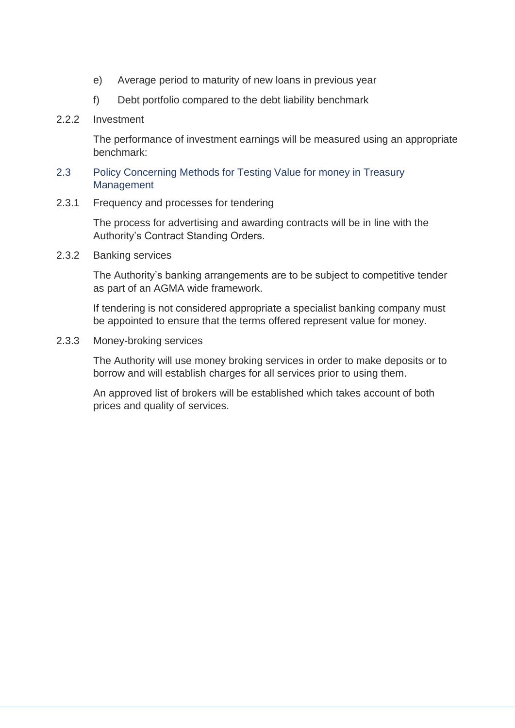- e) Average period to maturity of new loans in previous year
- f) Debt portfolio compared to the debt liability benchmark
- 2.2.2 Investment

The performance of investment earnings will be measured using an appropriate benchmark:

- 2.3 Policy Concerning Methods for Testing Value for money in Treasury **Management**
- 2.3.1 Frequency and processes for tendering

The process for advertising and awarding contracts will be in line with the Authority's Contract Standing Orders.

2.3.2 Banking services

The Authority's banking arrangements are to be subject to competitive tender as part of an AGMA wide framework.

If tendering is not considered appropriate a specialist banking company must be appointed to ensure that the terms offered represent value for money.

2.3.3 Money-broking services

The Authority will use money broking services in order to make deposits or to borrow and will establish charges for all services prior to using them.

An approved list of brokers will be established which takes account of both prices and quality of services.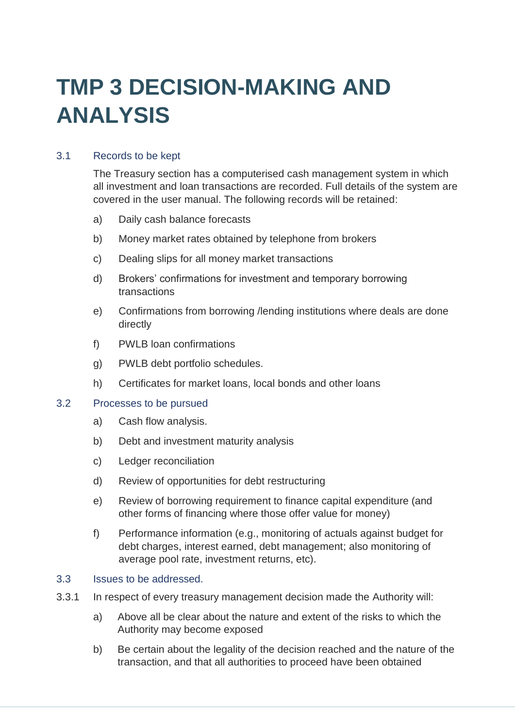# **TMP 3 DECISION-MAKING AND ANALYSIS**

#### 3.1 Records to be kept

The Treasury section has a computerised cash management system in which all investment and loan transactions are recorded. Full details of the system are covered in the user manual. The following records will be retained:

- a) Daily cash balance forecasts
- b) Money market rates obtained by telephone from brokers
- c) Dealing slips for all money market transactions
- d) Brokers' confirmations for investment and temporary borrowing transactions
- e) Confirmations from borrowing /lending institutions where deals are done directly
- f) PWLB loan confirmations
- g) PWLB debt portfolio schedules.
- h) Certificates for market loans, local bonds and other loans

#### 3.2 Processes to be pursued

- a) Cash flow analysis.
- b) Debt and investment maturity analysis
- c) Ledger reconciliation
- d) Review of opportunities for debt restructuring
- e) Review of borrowing requirement to finance capital expenditure (and other forms of financing where those offer value for money)
- f) Performance information (e.g., monitoring of actuals against budget for debt charges, interest earned, debt management; also monitoring of average pool rate, investment returns, etc).

#### 3.3 Issues to be addressed.

- 3.3.1 In respect of every treasury management decision made the Authority will:
	- a) Above all be clear about the nature and extent of the risks to which the Authority may become exposed
	- b) Be certain about the legality of the decision reached and the nature of the transaction, and that all authorities to proceed have been obtained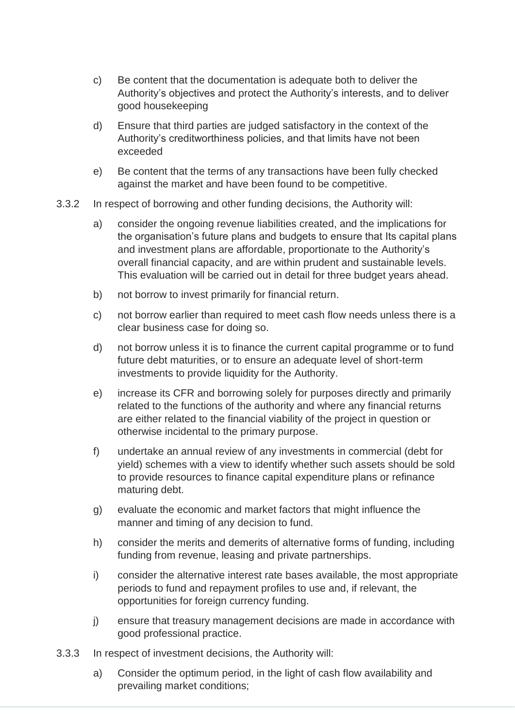- c) Be content that the documentation is adequate both to deliver the Authority's objectives and protect the Authority's interests, and to deliver good housekeeping
- d) Ensure that third parties are judged satisfactory in the context of the Authority's creditworthiness policies, and that limits have not been exceeded
- e) Be content that the terms of any transactions have been fully checked against the market and have been found to be competitive.
- 3.3.2 In respect of borrowing and other funding decisions, the Authority will:
	- a) consider the ongoing revenue liabilities created, and the implications for the organisation's future plans and budgets to ensure that Its capital plans and investment plans are affordable, proportionate to the Authority's overall financial capacity, and are within prudent and sustainable levels. This evaluation will be carried out in detail for three budget years ahead.
	- b) not borrow to invest primarily for financial return.
	- c) not borrow earlier than required to meet cash flow needs unless there is a clear business case for doing so.
	- d) not borrow unless it is to finance the current capital programme or to fund future debt maturities, or to ensure an adequate level of short-term investments to provide liquidity for the Authority.
	- e) increase its CFR and borrowing solely for purposes directly and primarily related to the functions of the authority and where any financial returns are either related to the financial viability of the project in question or otherwise incidental to the primary purpose.
	- f) undertake an annual review of any investments in commercial (debt for yield) schemes with a view to identify whether such assets should be sold to provide resources to finance capital expenditure plans or refinance maturing debt.
	- g) evaluate the economic and market factors that might influence the manner and timing of any decision to fund.
	- h) consider the merits and demerits of alternative forms of funding, including funding from revenue, leasing and private partnerships.
	- i) consider the alternative interest rate bases available, the most appropriate periods to fund and repayment profiles to use and, if relevant, the opportunities for foreign currency funding.
	- j) ensure that treasury management decisions are made in accordance with good professional practice.
- 3.3.3 In respect of investment decisions, the Authority will:
	- a) Consider the optimum period, in the light of cash flow availability and prevailing market conditions;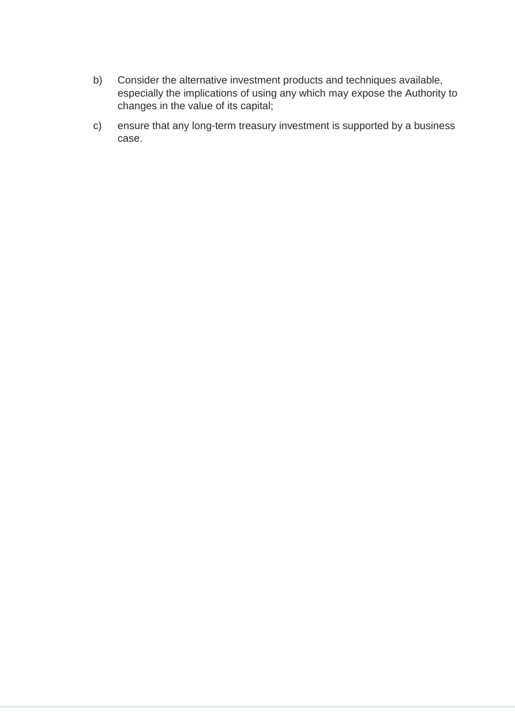- b) Consider the alternative investment products and techniques available, especially the implications of using any which may expose the Authority to changes in the value of its capital;
- c) ensure that any long-term treasury investment is supported by a business case.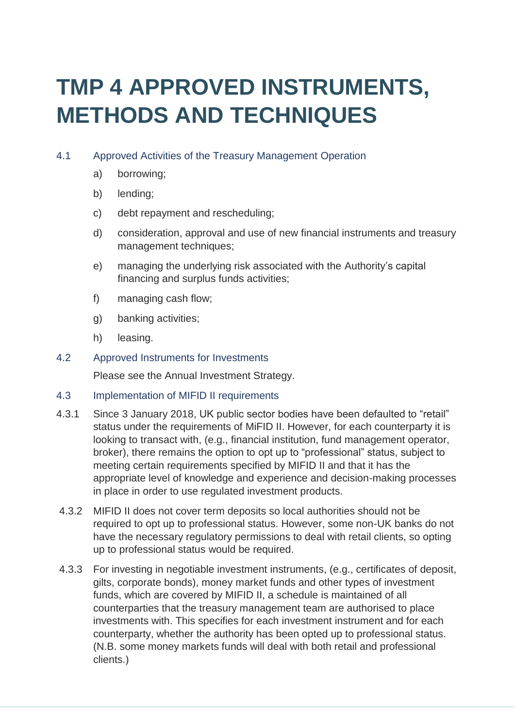# **TMP 4 APPROVED INSTRUMENTS, METHODS AND TECHNIQUES**

#### 4.1 Approved Activities of the Treasury Management Operation

- a) borrowing;
- b) lending;
- c) debt repayment and rescheduling;
- d) consideration, approval and use of new financial instruments and treasury management techniques;
- e) managing the underlying risk associated with the Authority's capital financing and surplus funds activities;
- f) managing cash flow;
- g) banking activities;
- h) leasing.
- 4.2 Approved Instruments for Investments

Please see the Annual Investment Strategy.

- 4.3 Implementation of MIFID II requirements
- 4.3.1 Since 3 January 2018, UK public sector bodies have been defaulted to "retail" status under the requirements of MiFID II. However, for each counterparty it is looking to transact with, (e.g., financial institution, fund management operator, broker), there remains the option to opt up to "professional" status, subject to meeting certain requirements specified by MIFID II and that it has the appropriate level of knowledge and experience and decision-making processes in place in order to use regulated investment products.
- 4.3.2 MIFID II does not cover term deposits so local authorities should not be required to opt up to professional status. However, some non-UK banks do not have the necessary regulatory permissions to deal with retail clients, so opting up to professional status would be required.
- 4.3.3 For investing in negotiable investment instruments, (e.g., certificates of deposit, gilts, corporate bonds), money market funds and other types of investment funds, which are covered by MIFID II, a schedule is maintained of all counterparties that the treasury management team are authorised to place investments with. This specifies for each investment instrument and for each counterparty, whether the authority has been opted up to professional status. (N.B. some money markets funds will deal with both retail and professional clients.)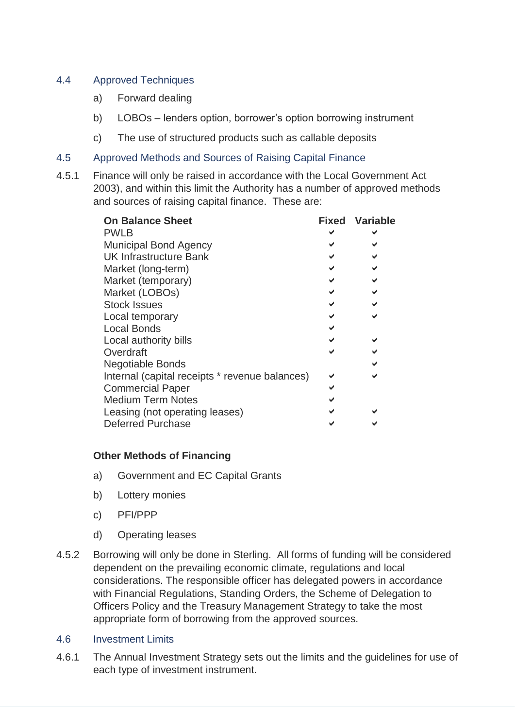#### 4.4 Approved Techniques

- a) Forward dealing
- b) LOBOs lenders option, borrower's option borrowing instrument
- c) The use of structured products such as callable deposits
- 4.5 Approved Methods and Sources of Raising Capital Finance
- 4.5.1 Finance will only be raised in accordance with the Local Government Act 2003), and within this limit the Authority has a number of approved methods and sources of raising capital finance. These are:

| <b>On Balance Sheet</b>                        |  | <b>Fixed Variable</b> |
|------------------------------------------------|--|-----------------------|
| <b>PWLB</b>                                    |  |                       |
| <b>Municipal Bond Agency</b>                   |  |                       |
| <b>UK Infrastructure Bank</b>                  |  |                       |
| Market (long-term)                             |  |                       |
| Market (temporary)                             |  |                       |
| Market (LOBOs)                                 |  |                       |
| <b>Stock Issues</b>                            |  |                       |
| Local temporary                                |  |                       |
| <b>Local Bonds</b>                             |  |                       |
| Local authority bills                          |  |                       |
| Overdraft                                      |  |                       |
| <b>Negotiable Bonds</b>                        |  |                       |
| Internal (capital receipts * revenue balances) |  |                       |
| <b>Commercial Paper</b>                        |  |                       |
| <b>Medium Term Notes</b>                       |  |                       |
| Leasing (not operating leases)                 |  |                       |
| <b>Deferred Purchase</b>                       |  |                       |

#### **Other Methods of Financing**

- a) Government and EC Capital Grants
- b) Lottery monies
- c) PFI/PPP
- d) Operating leases
- 4.5.2 Borrowing will only be done in Sterling. All forms of funding will be considered dependent on the prevailing economic climate, regulations and local considerations. The responsible officer has delegated powers in accordance with Financial Regulations, Standing Orders, the Scheme of Delegation to Officers Policy and the Treasury Management Strategy to take the most appropriate form of borrowing from the approved sources.

#### 4.6 Investment Limits

4.6.1 The Annual Investment Strategy sets out the limits and the guidelines for use of each type of investment instrument.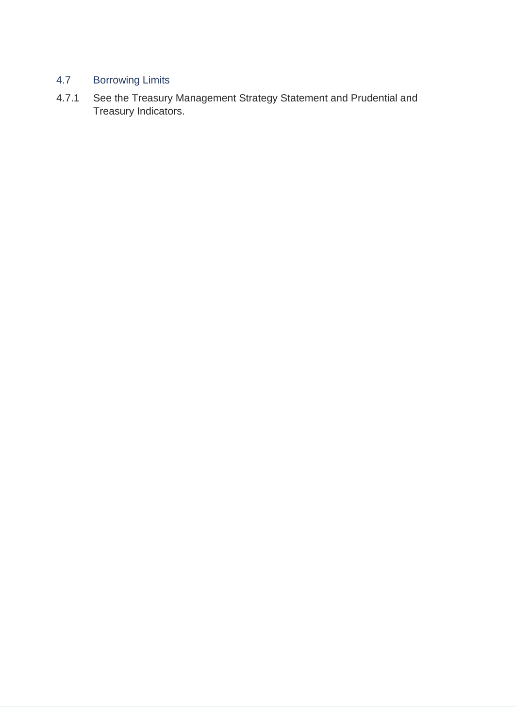#### 4.7 Borrowing Limits

4.7.1 See the Treasury Management Strategy Statement and Prudential and Treasury Indicators.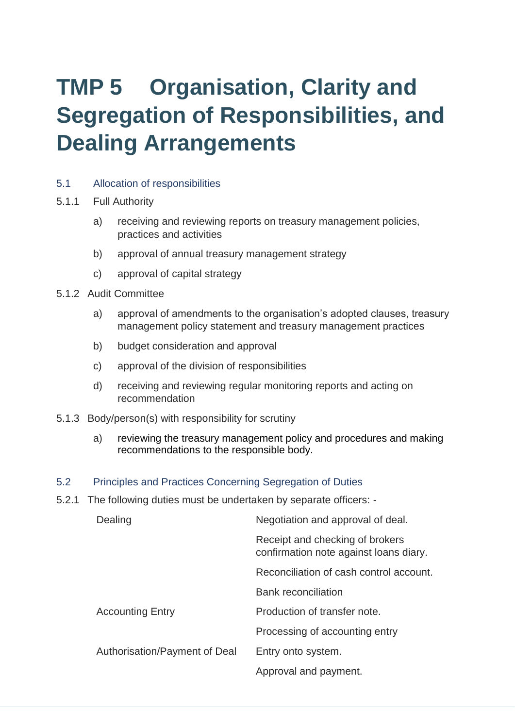# **TMP 5 Organisation, Clarity and Segregation of Responsibilities, and Dealing Arrangements**

- 5.1 Allocation of responsibilities
- 5.1.1 Full Authority
	- a) receiving and reviewing reports on treasury management policies, practices and activities
	- b) approval of annual treasury management strategy
	- c) approval of capital strategy
- 5.1.2 Audit Committee
	- a) approval of amendments to the organisation's adopted clauses, treasury management policy statement and treasury management practices
	- b) budget consideration and approval
	- c) approval of the division of responsibilities
	- d) receiving and reviewing regular monitoring reports and acting on recommendation
- 5.1.3 Body/person(s) with responsibility for scrutiny
	- a) reviewing the treasury management policy and procedures and making recommendations to the responsible body.
- 5.2 Principles and Practices Concerning Segregation of Duties
- 5.2.1 The following duties must be undertaken by separate officers: -

| Dealing                       | Negotiation and approval of deal.                                         |  |  |
|-------------------------------|---------------------------------------------------------------------------|--|--|
|                               | Receipt and checking of brokers<br>confirmation note against loans diary. |  |  |
|                               | Reconciliation of cash control account.                                   |  |  |
|                               | <b>Bank reconciliation</b>                                                |  |  |
| <b>Accounting Entry</b>       | Production of transfer note.                                              |  |  |
|                               | Processing of accounting entry                                            |  |  |
| Authorisation/Payment of Deal | Entry onto system.                                                        |  |  |
|                               | Approval and payment.                                                     |  |  |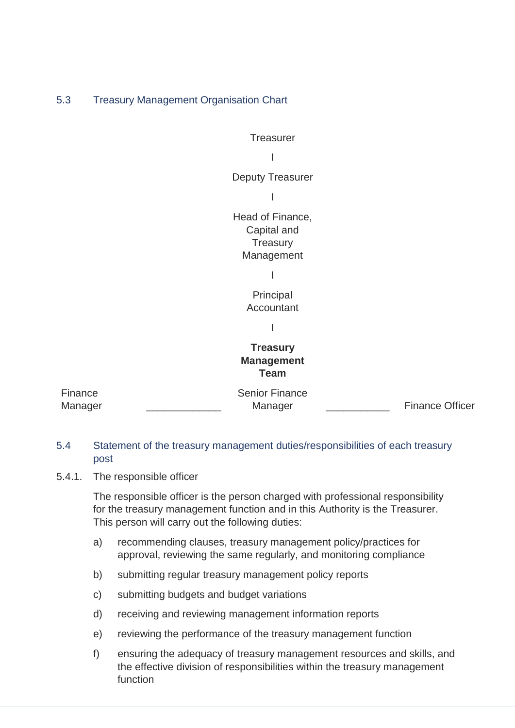#### 5.3 Treasury Management Organisation Chart



#### **Treasury Management Team**

| Finance | <b>Senior Finance</b> |                        |
|---------|-----------------------|------------------------|
| Manager | Manager               | <b>Finance Officer</b> |

#### 5.4 Statement of the treasury management duties/responsibilities of each treasury post

5.4.1. The responsible officer

The responsible officer is the person charged with professional responsibility for the treasury management function and in this Authority is the Treasurer. This person will carry out the following duties:

- a) recommending clauses, treasury management policy/practices for approval, reviewing the same regularly, and monitoring compliance
- b) submitting regular treasury management policy reports
- c) submitting budgets and budget variations
- d) receiving and reviewing management information reports
- e) reviewing the performance of the treasury management function
- f) ensuring the adequacy of treasury management resources and skills, and the effective division of responsibilities within the treasury management function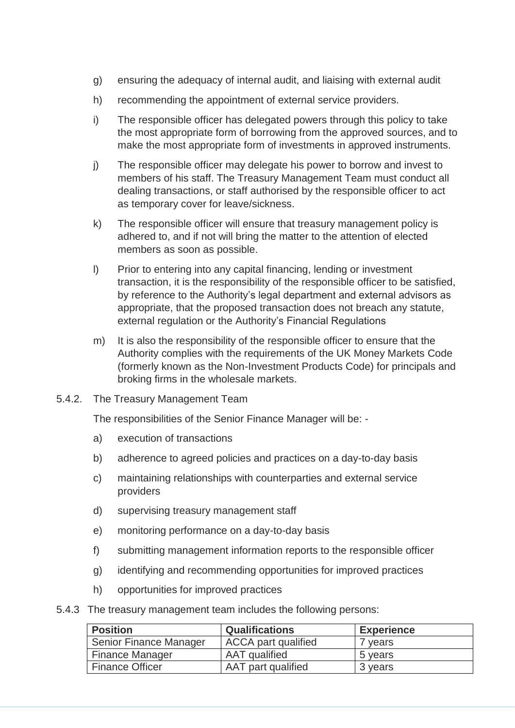- g) ensuring the adequacy of internal audit, and liaising with external audit
- h) recommending the appointment of external service providers.
- i) The responsible officer has delegated powers through this policy to take the most appropriate form of borrowing from the approved sources, and to make the most appropriate form of investments in approved instruments.
- j) The responsible officer may delegate his power to borrow and invest to members of his staff. The Treasury Management Team must conduct all dealing transactions, or staff authorised by the responsible officer to act as temporary cover for leave/sickness.
- k) The responsible officer will ensure that treasury management policy is adhered to, and if not will bring the matter to the attention of elected members as soon as possible.
- l) Prior to entering into any capital financing, lending or investment transaction, it is the responsibility of the responsible officer to be satisfied, by reference to the Authority's legal department and external advisors as appropriate, that the proposed transaction does not breach any statute, external regulation or the Authority's Financial Regulations
- m) It is also the responsibility of the responsible officer to ensure that the Authority complies with the requirements of the UK Money Markets Code (formerly known as the Non-Investment Products Code) for principals and broking firms in the wholesale markets.
- 5.4.2. The Treasury Management Team

The responsibilities of the Senior Finance Manager will be: -

- a) execution of transactions
- b) adherence to agreed policies and practices on a day-to-day basis
- c) maintaining relationships with counterparties and external service providers
- d) supervising treasury management staff
- e) monitoring performance on a day-to-day basis
- f) submitting management information reports to the responsible officer
- g) identifying and recommending opportunities for improved practices
- h) opportunities for improved practices
- 5.4.3 The treasury management team includes the following persons:

| <b>Position</b>        | <b>Qualifications</b>      | <b>Experience</b> |
|------------------------|----------------------------|-------------------|
| Senior Finance Manager | <b>ACCA</b> part qualified | vears             |
| <b>Finance Manager</b> | AAT qualified              | 5 years           |
| <b>Finance Officer</b> | AAT part qualified         | 3 years           |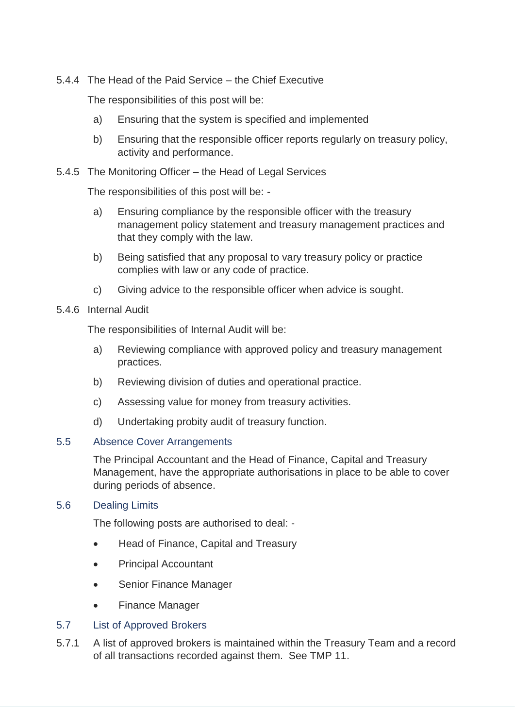5.4.4 The Head of the Paid Service – the Chief Executive

The responsibilities of this post will be:

- a) Ensuring that the system is specified and implemented
- b) Ensuring that the responsible officer reports regularly on treasury policy, activity and performance.

#### 5.4.5 The Monitoring Officer – the Head of Legal Services

The responsibilities of this post will be: -

- a) Ensuring compliance by the responsible officer with the treasury management policy statement and treasury management practices and that they comply with the law.
- b) Being satisfied that any proposal to vary treasury policy or practice complies with law or any code of practice.
- c) Giving advice to the responsible officer when advice is sought.
- 5.4.6 Internal Audit

The responsibilities of Internal Audit will be:

- a) Reviewing compliance with approved policy and treasury management practices.
- b) Reviewing division of duties and operational practice.
- c) Assessing value for money from treasury activities.
- d) Undertaking probity audit of treasury function.

#### 5.5 Absence Cover Arrangements

The Principal Accountant and the Head of Finance, Capital and Treasury Management, have the appropriate authorisations in place to be able to cover during periods of absence.

#### 5.6 Dealing Limits

The following posts are authorised to deal: -

- Head of Finance, Capital and Treasury
- Principal Accountant
- Senior Finance Manager
- Finance Manager

#### 5.7 List of Approved Brokers

5.7.1 A list of approved brokers is maintained within the Treasury Team and a record of all transactions recorded against them. See TMP 11.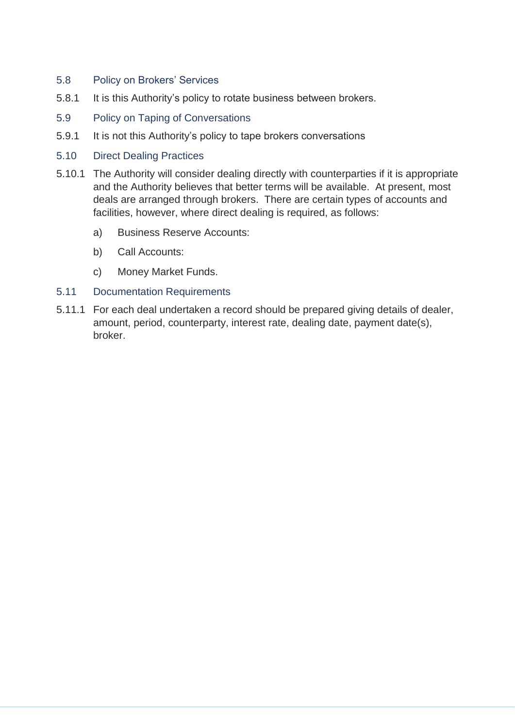- 5.8 Policy on Brokers' Services
- 5.8.1 It is this Authority's policy to rotate business between brokers.
- 5.9 Policy on Taping of Conversations
- 5.9.1 It is not this Authority's policy to tape brokers conversations
- 5.10 Direct Dealing Practices
- 5.10.1 The Authority will consider dealing directly with counterparties if it is appropriate and the Authority believes that better terms will be available. At present, most deals are arranged through brokers. There are certain types of accounts and facilities, however, where direct dealing is required, as follows:
	- a) Business Reserve Accounts:
	- b) Call Accounts:
	- c) Money Market Funds.
- 5.11 Documentation Requirements
- 5.11.1 For each deal undertaken a record should be prepared giving details of dealer, amount, period, counterparty, interest rate, dealing date, payment date(s), broker.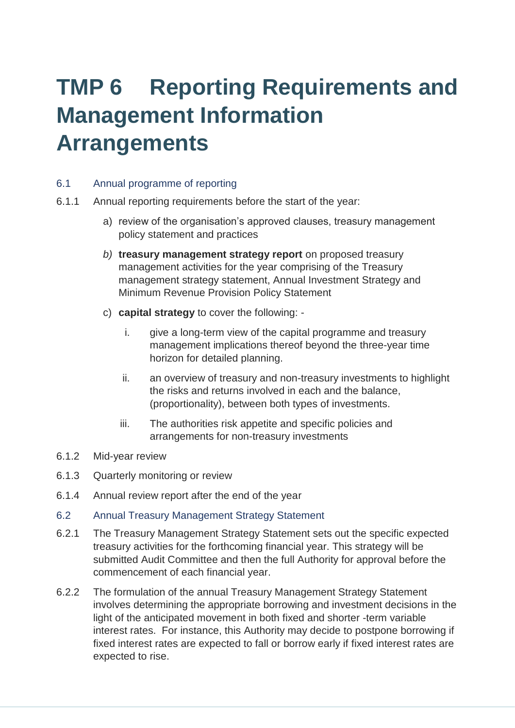### **TMP 6 Reporting Requirements and Management Information Arrangements**

#### 6.1 Annual programme of reporting

- 6.1.1 Annual reporting requirements before the start of the year:
	- a) review of the organisation's approved clauses, treasury management policy statement and practices
	- *b)* **treasury management strategy report** on proposed treasury management activities for the year comprising of the Treasury management strategy statement, Annual Investment Strategy and Minimum Revenue Provision Policy Statement
	- c) **capital strategy** to cover the following:
		- i. give a long-term view of the capital programme and treasury management implications thereof beyond the three-year time horizon for detailed planning.
		- ii. an overview of treasury and non-treasury investments to highlight the risks and returns involved in each and the balance, (proportionality), between both types of investments.
		- iii. The authorities risk appetite and specific policies and arrangements for non-treasury investments
- 6.1.2 Mid-year review
- 6.1.3 Quarterly monitoring or review
- 6.1.4 Annual review report after the end of the year
- 6.2 Annual Treasury Management Strategy Statement
- 6.2.1 The Treasury Management Strategy Statement sets out the specific expected treasury activities for the forthcoming financial year. This strategy will be submitted Audit Committee and then the full Authority for approval before the commencement of each financial year.
- 6.2.2 The formulation of the annual Treasury Management Strategy Statement involves determining the appropriate borrowing and investment decisions in the light of the anticipated movement in both fixed and shorter -term variable interest rates. For instance, this Authority may decide to postpone borrowing if fixed interest rates are expected to fall or borrow early if fixed interest rates are expected to rise.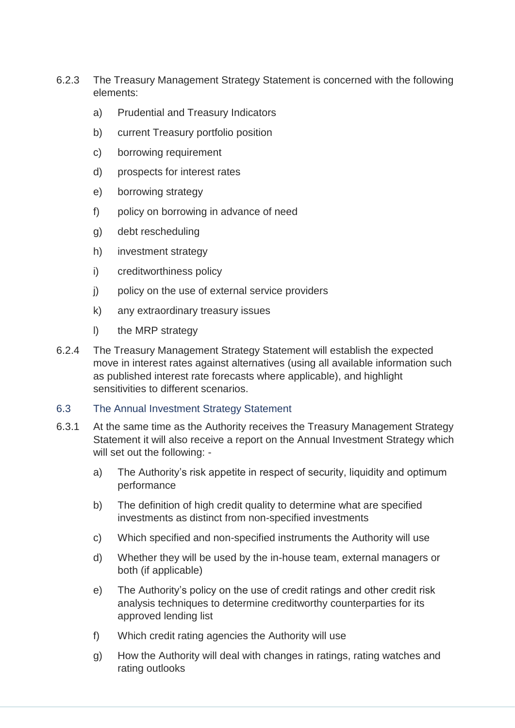- 6.2.3 The Treasury Management Strategy Statement is concerned with the following elements:
	- a) Prudential and Treasury Indicators
	- b) current Treasury portfolio position
	- c) borrowing requirement
	- d) prospects for interest rates
	- e) borrowing strategy
	- f) policy on borrowing in advance of need
	- g) debt rescheduling
	- h) investment strategy
	- i) creditworthiness policy
	- j) policy on the use of external service providers
	- k) any extraordinary treasury issues
	- l) the MRP strategy
- 6.2.4 The Treasury Management Strategy Statement will establish the expected move in interest rates against alternatives (using all available information such as published interest rate forecasts where applicable), and highlight sensitivities to different scenarios.

#### 6.3 The Annual Investment Strategy Statement

- 6.3.1 At the same time as the Authority receives the Treasury Management Strategy Statement it will also receive a report on the Annual Investment Strategy which will set out the following:
	- a) The Authority's risk appetite in respect of security, liquidity and optimum performance
	- b) The definition of high credit quality to determine what are specified investments as distinct from non-specified investments
	- c) Which specified and non-specified instruments the Authority will use
	- d) Whether they will be used by the in-house team, external managers or both (if applicable)
	- e) The Authority's policy on the use of credit ratings and other credit risk analysis techniques to determine creditworthy counterparties for its approved lending list
	- f) Which credit rating agencies the Authority will use
	- g) How the Authority will deal with changes in ratings, rating watches and rating outlooks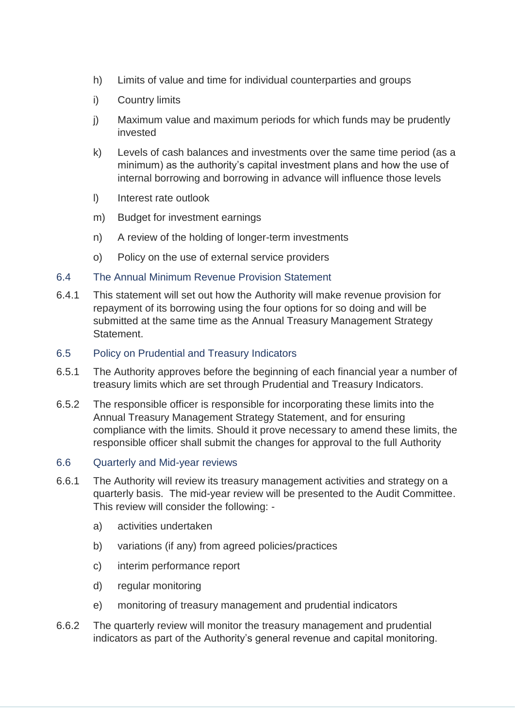- h) Limits of value and time for individual counterparties and groups
- i) Country limits
- j) Maximum value and maximum periods for which funds may be prudently invested
- k) Levels of cash balances and investments over the same time period (as a minimum) as the authority's capital investment plans and how the use of internal borrowing and borrowing in advance will influence those levels
- l) Interest rate outlook
- m) Budget for investment earnings
- n) A review of the holding of longer-term investments
- o) Policy on the use of external service providers

#### 6.4 The Annual Minimum Revenue Provision Statement

- 6.4.1 This statement will set out how the Authority will make revenue provision for repayment of its borrowing using the four options for so doing and will be submitted at the same time as the Annual Treasury Management Strategy **Statement**
- 6.5 Policy on Prudential and Treasury Indicators
- 6.5.1 The Authority approves before the beginning of each financial year a number of treasury limits which are set through Prudential and Treasury Indicators.
- 6.5.2 The responsible officer is responsible for incorporating these limits into the Annual Treasury Management Strategy Statement, and for ensuring compliance with the limits. Should it prove necessary to amend these limits, the responsible officer shall submit the changes for approval to the full Authority

#### 6.6 Quarterly and Mid-year reviews

- 6.6.1 The Authority will review its treasury management activities and strategy on a quarterly basis. The mid-year review will be presented to the Audit Committee. This review will consider the following:
	- a) activities undertaken
	- b) variations (if any) from agreed policies/practices
	- c) interim performance report
	- d) regular monitoring
	- e) monitoring of treasury management and prudential indicators
- 6.6.2 The quarterly review will monitor the treasury management and prudential indicators as part of the Authority's general revenue and capital monitoring.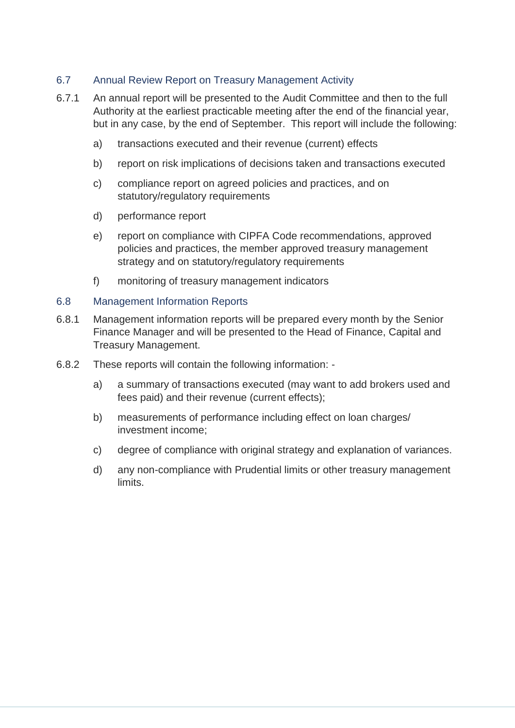#### 6.7 Annual Review Report on Treasury Management Activity

- 6.7.1 An annual report will be presented to the Audit Committee and then to the full Authority at the earliest practicable meeting after the end of the financial year, but in any case, by the end of September. This report will include the following:
	- a) transactions executed and their revenue (current) effects
	- b) report on risk implications of decisions taken and transactions executed
	- c) compliance report on agreed policies and practices, and on statutory/regulatory requirements
	- d) performance report
	- e) report on compliance with CIPFA Code recommendations, approved policies and practices, the member approved treasury management strategy and on statutory/regulatory requirements
	- f) monitoring of treasury management indicators

#### 6.8 Management Information Reports

- 6.8.1 Management information reports will be prepared every month by the Senior Finance Manager and will be presented to the Head of Finance, Capital and Treasury Management.
- 6.8.2 These reports will contain the following information:
	- a) a summary of transactions executed (may want to add brokers used and fees paid) and their revenue (current effects);
	- b) measurements of performance including effect on loan charges/ investment income;
	- c) degree of compliance with original strategy and explanation of variances.
	- d) any non-compliance with Prudential limits or other treasury management limits.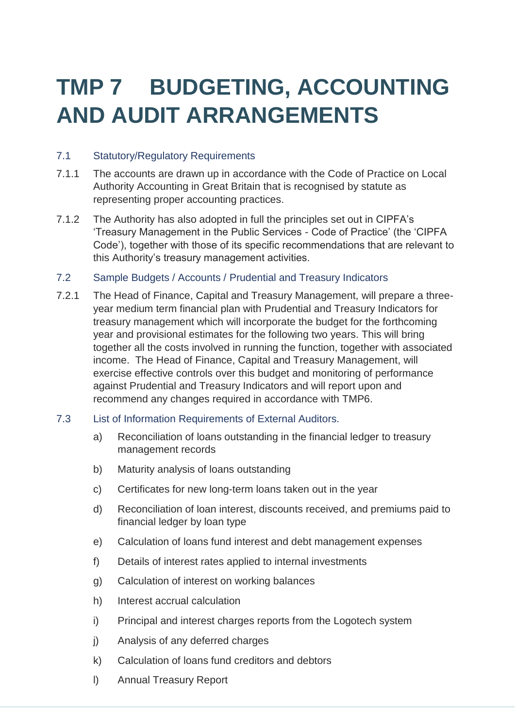# **TMP 7 BUDGETING, ACCOUNTING AND AUDIT ARRANGEMENTS**

#### 7.1 Statutory/Regulatory Requirements

- 7.1.1 The accounts are drawn up in accordance with the Code of Practice on Local Authority Accounting in Great Britain that is recognised by statute as representing proper accounting practices.
- 7.1.2 The Authority has also adopted in full the principles set out in CIPFA's 'Treasury Management in the Public Services - Code of Practice' (the 'CIPFA Code'), together with those of its specific recommendations that are relevant to this Authority's treasury management activities.
- 7.2 Sample Budgets / Accounts / Prudential and Treasury Indicators
- 7.2.1 The Head of Finance, Capital and Treasury Management, will prepare a threeyear medium term financial plan with Prudential and Treasury Indicators for treasury management which will incorporate the budget for the forthcoming year and provisional estimates for the following two years. This will bring together all the costs involved in running the function, together with associated income. The Head of Finance, Capital and Treasury Management, will exercise effective controls over this budget and monitoring of performance against Prudential and Treasury Indicators and will report upon and recommend any changes required in accordance with TMP6.
- 7.3 List of Information Requirements of External Auditors.
	- a) Reconciliation of loans outstanding in the financial ledger to treasury management records
	- b) Maturity analysis of loans outstanding
	- c) Certificates for new long-term loans taken out in the year
	- d) Reconciliation of loan interest, discounts received, and premiums paid to financial ledger by loan type
	- e) Calculation of loans fund interest and debt management expenses
	- f) Details of interest rates applied to internal investments
	- g) Calculation of interest on working balances
	- h) Interest accrual calculation
	- i) Principal and interest charges reports from the Logotech system
	- j) Analysis of any deferred charges
	- k) Calculation of loans fund creditors and debtors
	- l) Annual Treasury Report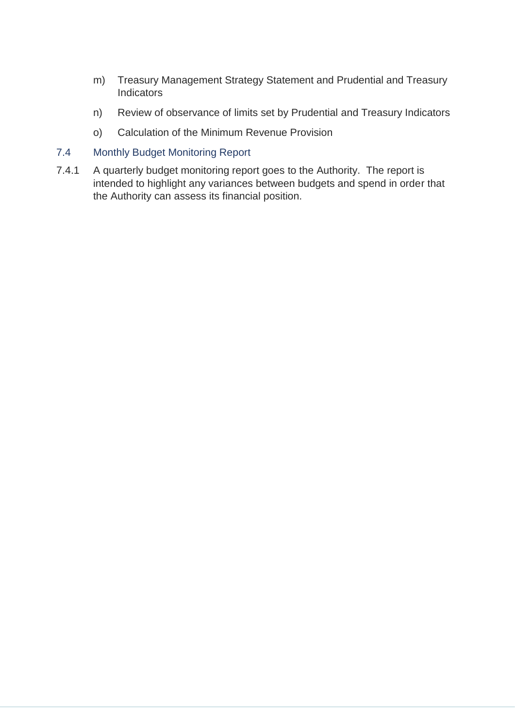- m) Treasury Management Strategy Statement and Prudential and Treasury **Indicators**
- n) Review of observance of limits set by Prudential and Treasury Indicators
- o) Calculation of the Minimum Revenue Provision

#### 7.4 Monthly Budget Monitoring Report

7.4.1 A quarterly budget monitoring report goes to the Authority. The report is intended to highlight any variances between budgets and spend in order that the Authority can assess its financial position.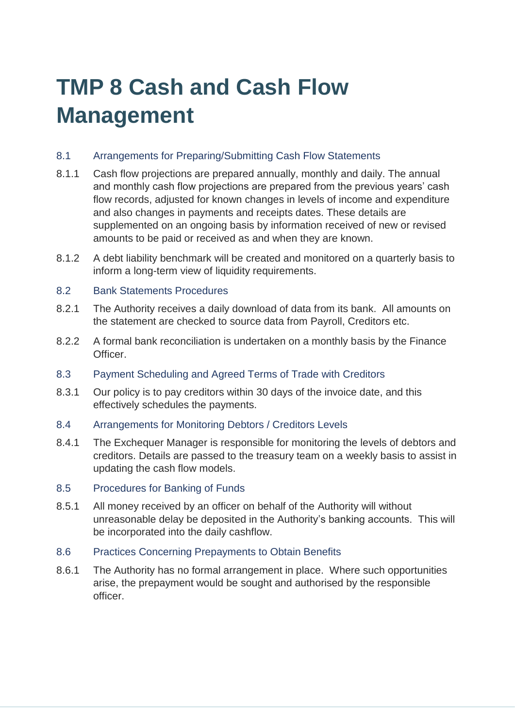# **TMP 8 Cash and Cash Flow Management**

#### 8.1 Arrangements for Preparing/Submitting Cash Flow Statements

- 8.1.1 Cash flow projections are prepared annually, monthly and daily. The annual and monthly cash flow projections are prepared from the previous years' cash flow records, adjusted for known changes in levels of income and expenditure and also changes in payments and receipts dates. These details are supplemented on an ongoing basis by information received of new or revised amounts to be paid or received as and when they are known.
- 8.1.2 A debt liability benchmark will be created and monitored on a quarterly basis to inform a long-term view of liquidity requirements.

#### 8.2 Bank Statements Procedures

- 8.2.1 The Authority receives a daily download of data from its bank. All amounts on the statement are checked to source data from Payroll, Creditors etc.
- 8.2.2 A formal bank reconciliation is undertaken on a monthly basis by the Finance Officer.
- 8.3 Payment Scheduling and Agreed Terms of Trade with Creditors
- 8.3.1 Our policy is to pay creditors within 30 days of the invoice date, and this effectively schedules the payments.
- 8.4 Arrangements for Monitoring Debtors / Creditors Levels
- 8.4.1 The Exchequer Manager is responsible for monitoring the levels of debtors and creditors. Details are passed to the treasury team on a weekly basis to assist in updating the cash flow models.
- 8.5 Procedures for Banking of Funds
- 8.5.1 All money received by an officer on behalf of the Authority will without unreasonable delay be deposited in the Authority's banking accounts. This will be incorporated into the daily cashflow.
- 8.6 Practices Concerning Prepayments to Obtain Benefits
- 8.6.1 The Authority has no formal arrangement in place. Where such opportunities arise, the prepayment would be sought and authorised by the responsible officer.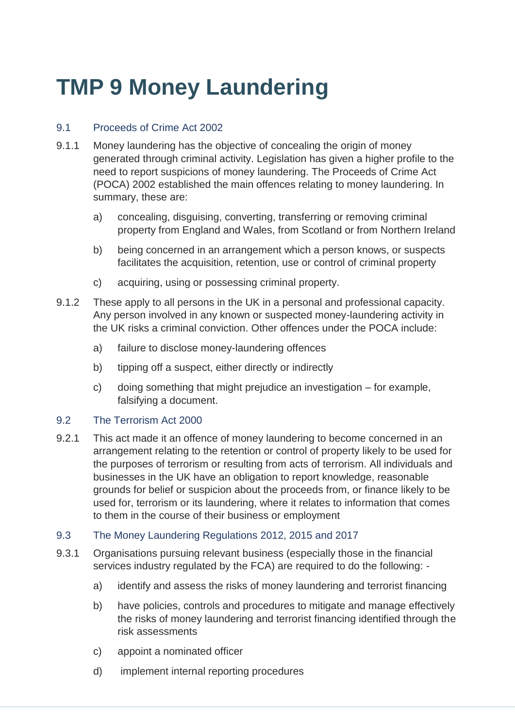### **TMP 9 Money Laundering**

#### 9.1 Proceeds of Crime Act 2002

- 9.1.1 Money laundering has the objective of concealing the origin of money generated through criminal activity. Legislation has given a higher profile to the need to report suspicions of money laundering. The Proceeds of Crime Act (POCA) 2002 established the main offences relating to money laundering. In summary, these are:
	- a) concealing, disguising, converting, transferring or removing criminal property from England and Wales, from Scotland or from Northern Ireland
	- b) being concerned in an arrangement which a person knows, or suspects facilitates the acquisition, retention, use or control of criminal property
	- c) acquiring, using or possessing criminal property.
- 9.1.2 These apply to all persons in the UK in a personal and professional capacity. Any person involved in any known or suspected money-laundering activity in the UK risks a criminal conviction. Other offences under the POCA include:
	- a) failure to disclose money-laundering offences
	- b) tipping off a suspect, either directly or indirectly
	- c) doing something that might prejudice an investigation for example, falsifying a document.

#### 9.2 The Terrorism Act 2000

- 9.2.1 This act made it an offence of money laundering to become concerned in an arrangement relating to the retention or control of property likely to be used for the purposes of terrorism or resulting from acts of terrorism. All individuals and businesses in the UK have an obligation to report knowledge, reasonable grounds for belief or suspicion about the proceeds from, or finance likely to be used for, terrorism or its laundering, where it relates to information that comes to them in the course of their business or employment
- 9.3 The Money Laundering Regulations 2012, 2015 and 2017
- 9.3.1 Organisations pursuing relevant business (especially those in the financial services industry regulated by the FCA) are required to do the following:
	- a) identify and assess the risks of money laundering and terrorist financing
	- b) have policies, controls and procedures to mitigate and manage effectively the risks of money laundering and terrorist financing identified through the risk assessments
	- c) appoint a nominated officer
	- d) implement internal reporting procedures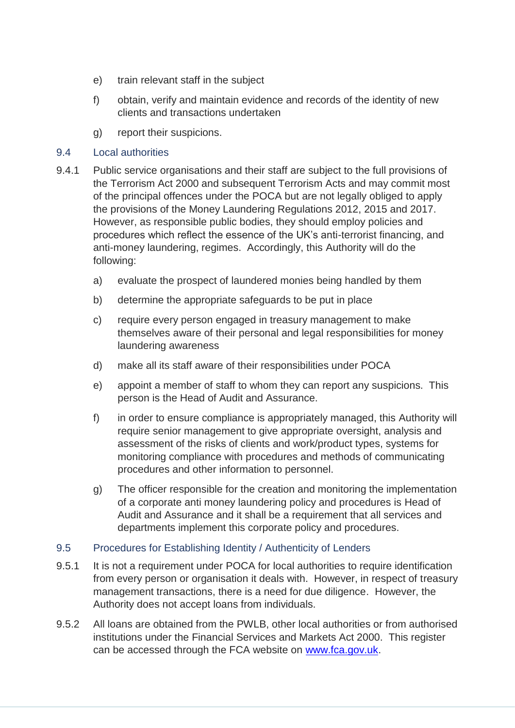- e) train relevant staff in the subject
- f) obtain, verify and maintain evidence and records of the identity of new clients and transactions undertaken
- g) report their suspicions.

#### 9.4 Local authorities

- 9.4.1 Public service organisations and their staff are subject to the full provisions of the Terrorism Act 2000 and subsequent Terrorism Acts and may commit most of the principal offences under the POCA but are not legally obliged to apply the provisions of the Money Laundering Regulations 2012, 2015 and 2017. However, as responsible public bodies, they should employ policies and procedures which reflect the essence of the UK's anti-terrorist financing, and anti-money laundering, regimes. Accordingly, this Authority will do the following:
	- a) evaluate the prospect of laundered monies being handled by them
	- b) determine the appropriate safeguards to be put in place
	- c) require every person engaged in treasury management to make themselves aware of their personal and legal responsibilities for money laundering awareness
	- d) make all its staff aware of their responsibilities under POCA
	- e) appoint a member of staff to whom they can report any suspicions. This person is the Head of Audit and Assurance.
	- f) in order to ensure compliance is appropriately managed, this Authority will require senior management to give appropriate oversight, analysis and assessment of the risks of clients and work/product types, systems for monitoring compliance with procedures and methods of communicating procedures and other information to personnel.
	- g) The officer responsible for the creation and monitoring the implementation of a corporate anti money laundering policy and procedures is Head of Audit and Assurance and it shall be a requirement that all services and departments implement this corporate policy and procedures.

#### 9.5 Procedures for Establishing Identity / Authenticity of Lenders

- 9.5.1 It is not a requirement under POCA for local authorities to require identification from every person or organisation it deals with. However, in respect of treasury management transactions, there is a need for due diligence. However, the Authority does not accept loans from individuals.
- 9.5.2 All loans are obtained from the PWLB, other local authorities or from authorised institutions under the Financial Services and Markets Act 2000. This register can be accessed through the FCA website on [www.fca.gov.uk.](http://www.fca.gov.uk/)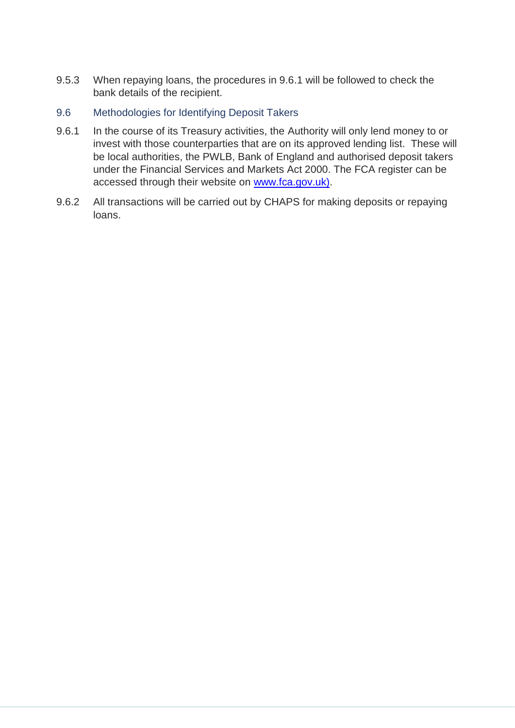- 9.5.3 When repaying loans, the procedures in 9.6.1 will be followed to check the bank details of the recipient.
- 9.6 Methodologies for Identifying Deposit Takers
- 9.6.1 In the course of its Treasury activities, the Authority will only lend money to or invest with those counterparties that are on its approved lending list. These will be local authorities, the PWLB, Bank of England and authorised deposit takers under the Financial Services and Markets Act 2000. The FCA register can be accessed through their website on [www.fca.gov.uk\).](http://www.fca.gov.uk)/)
- 9.6.2 All transactions will be carried out by CHAPS for making deposits or repaying loans.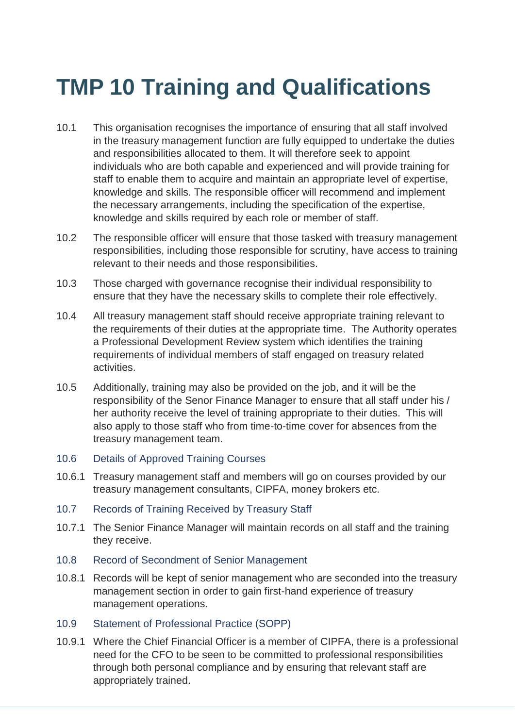# **TMP 10 Training and Qualifications**

- 10.1 This organisation recognises the importance of ensuring that all staff involved in the treasury management function are fully equipped to undertake the duties and responsibilities allocated to them. It will therefore seek to appoint individuals who are both capable and experienced and will provide training for staff to enable them to acquire and maintain an appropriate level of expertise, knowledge and skills. The responsible officer will recommend and implement the necessary arrangements, including the specification of the expertise, knowledge and skills required by each role or member of staff.
- 10.2 The responsible officer will ensure that those tasked with treasury management responsibilities, including those responsible for scrutiny, have access to training relevant to their needs and those responsibilities.
- 10.3 Those charged with governance recognise their individual responsibility to ensure that they have the necessary skills to complete their role effectively.
- 10.4 All treasury management staff should receive appropriate training relevant to the requirements of their duties at the appropriate time. The Authority operates a Professional Development Review system which identifies the training requirements of individual members of staff engaged on treasury related activities.
- 10.5 Additionally, training may also be provided on the job, and it will be the responsibility of the Senor Finance Manager to ensure that all staff under his / her authority receive the level of training appropriate to their duties. This will also apply to those staff who from time-to-time cover for absences from the treasury management team.
- 10.6 Details of Approved Training Courses
- 10.6.1 Treasury management staff and members will go on courses provided by our treasury management consultants, CIPFA, money brokers etc.
- 10.7 Records of Training Received by Treasury Staff
- 10.7.1 The Senior Finance Manager will maintain records on all staff and the training they receive.
- 10.8 Record of Secondment of Senior Management
- 10.8.1 Records will be kept of senior management who are seconded into the treasury management section in order to gain first-hand experience of treasury management operations.
- 10.9 Statement of Professional Practice (SOPP)
- 10.9.1 Where the Chief Financial Officer is a member of CIPFA, there is a professional need for the CFO to be seen to be committed to professional responsibilities through both personal compliance and by ensuring that relevant staff are appropriately trained.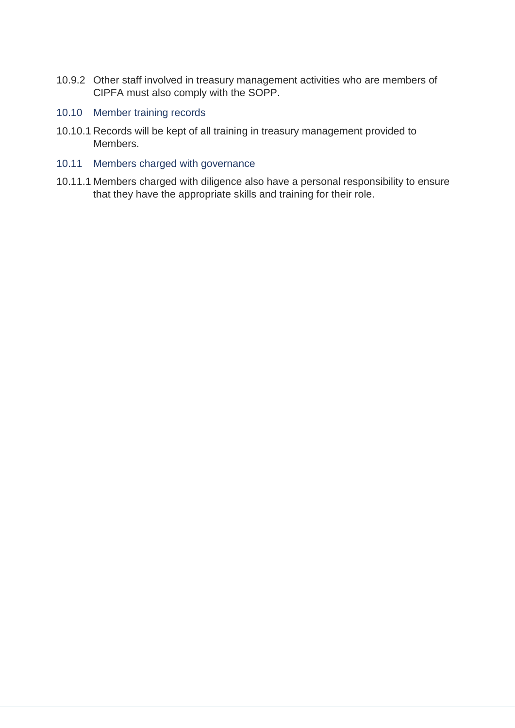- 10.9.2 Other staff involved in treasury management activities who are members of CIPFA must also comply with the SOPP.
- 10.10 Member training records
- 10.10.1 Records will be kept of all training in treasury management provided to Members.
- 10.11 Members charged with governance
- 10.11.1 Members charged with diligence also have a personal responsibility to ensure that they have the appropriate skills and training for their role.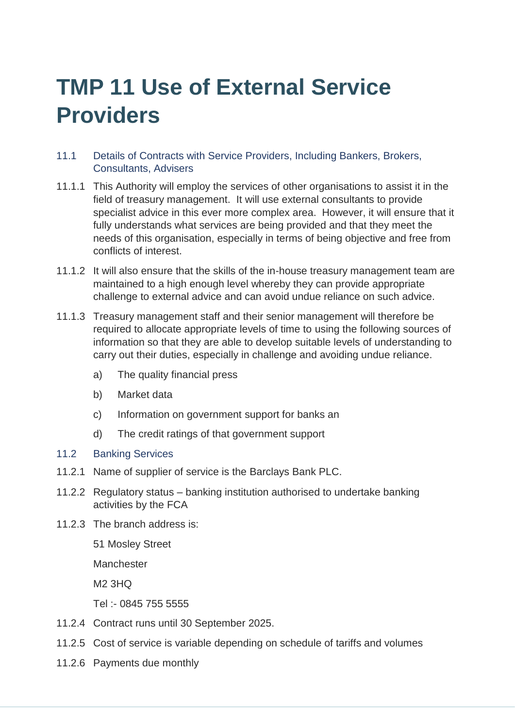### **TMP 11 Use of External Service Providers**

- 11.1 Details of Contracts with Service Providers, Including Bankers, Brokers, Consultants, Advisers
- 11.1.1 This Authority will employ the services of other organisations to assist it in the field of treasury management. It will use external consultants to provide specialist advice in this ever more complex area. However, it will ensure that it fully understands what services are being provided and that they meet the needs of this organisation, especially in terms of being objective and free from conflicts of interest.
- 11.1.2 It will also ensure that the skills of the in-house treasury management team are maintained to a high enough level whereby they can provide appropriate challenge to external advice and can avoid undue reliance on such advice.
- 11.1.3 Treasury management staff and their senior management will therefore be required to allocate appropriate levels of time to using the following sources of information so that they are able to develop suitable levels of understanding to carry out their duties, especially in challenge and avoiding undue reliance.
	- a) The quality financial press
	- b) Market data
	- c) Information on government support for banks an
	- d) The credit ratings of that government support
- 11.2 Banking Services
- 11.2.1 Name of supplier of service is the Barclays Bank PLC.
- 11.2.2 Regulatory status banking institution authorised to undertake banking activities by the FCA
- 11.2.3 The branch address is:

51 Mosley Street

Manchester

M2 3HQ

Tel :- 0845 755 5555

- 11.2.4 Contract runs until 30 September 2025.
- 11.2.5 Cost of service is variable depending on schedule of tariffs and volumes
- 11.2.6 Payments due monthly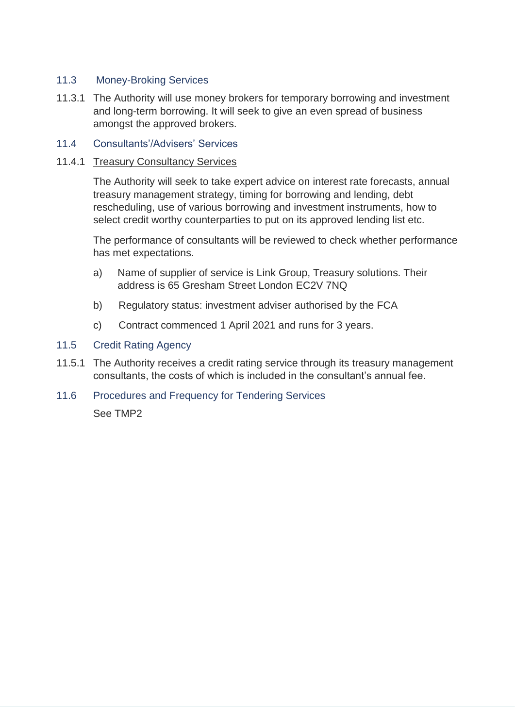#### 11.3 Money-Broking Services

- 11.3.1 The Authority will use money brokers for temporary borrowing and investment and long-term borrowing. It will seek to give an even spread of business amongst the approved brokers.
- 11.4 Consultants'/Advisers' Services

#### 11.4.1 Treasury Consultancy Services

The Authority will seek to take expert advice on interest rate forecasts, annual treasury management strategy, timing for borrowing and lending, debt rescheduling, use of various borrowing and investment instruments, how to select credit worthy counterparties to put on its approved lending list etc.

The performance of consultants will be reviewed to check whether performance has met expectations.

- a) Name of supplier of service is Link Group, Treasury solutions. Their address is 65 Gresham Street London EC2V 7NQ
- b) Regulatory status: investment adviser authorised by the FCA
- c) Contract commenced 1 April 2021 and runs for 3 years.
- 11.5 Credit Rating Agency
- 11.5.1 The Authority receives a credit rating service through its treasury management consultants, the costs of which is included in the consultant's annual fee.
- 11.6 Procedures and Frequency for Tendering Services

See TMP2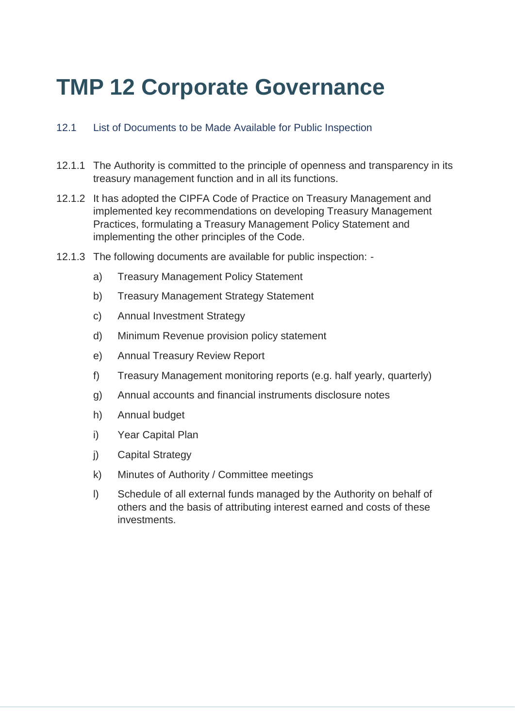### **TMP 12 Corporate Governance**

#### 12.1 List of Documents to be Made Available for Public Inspection

- 12.1.1 The Authority is committed to the principle of openness and transparency in its treasury management function and in all its functions.
- 12.1.2 It has adopted the CIPFA Code of Practice on Treasury Management and implemented key recommendations on developing Treasury Management Practices, formulating a Treasury Management Policy Statement and implementing the other principles of the Code.
- 12.1.3 The following documents are available for public inspection:
	- a) Treasury Management Policy Statement
	- b) Treasury Management Strategy Statement
	- c) Annual Investment Strategy
	- d) Minimum Revenue provision policy statement
	- e) Annual Treasury Review Report
	- f) Treasury Management monitoring reports (e.g. half yearly, quarterly)
	- g) Annual accounts and financial instruments disclosure notes
	- h) Annual budget
	- i) Year Capital Plan
	- j) Capital Strategy
	- k) Minutes of Authority / Committee meetings
	- l) Schedule of all external funds managed by the Authority on behalf of others and the basis of attributing interest earned and costs of these investments.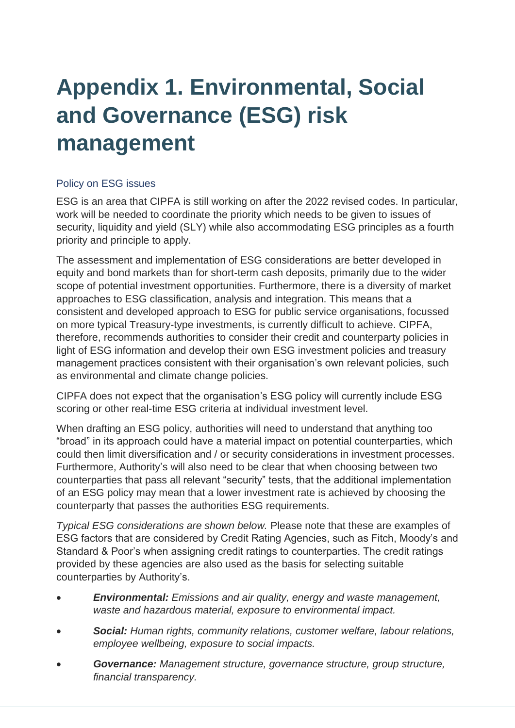# **Appendix 1. Environmental, Social and Governance (ESG) risk management**

#### Policy on ESG issues

ESG is an area that CIPFA is still working on after the 2022 revised codes. In particular, work will be needed to coordinate the priority which needs to be given to issues of security, liquidity and yield (SLY) while also accommodating ESG principles as a fourth priority and principle to apply.

The assessment and implementation of ESG considerations are better developed in equity and bond markets than for short-term cash deposits, primarily due to the wider scope of potential investment opportunities. Furthermore, there is a diversity of market approaches to ESG classification, analysis and integration. This means that a consistent and developed approach to ESG for public service organisations, focussed on more typical Treasury-type investments, is currently difficult to achieve. CIPFA, therefore, recommends authorities to consider their credit and counterparty policies in light of ESG information and develop their own ESG investment policies and treasury management practices consistent with their organisation's own relevant policies, such as environmental and climate change policies.

CIPFA does not expect that the organisation's ESG policy will currently include ESG scoring or other real-time ESG criteria at individual investment level.

When drafting an ESG policy, authorities will need to understand that anything too "broad" in its approach could have a material impact on potential counterparties, which could then limit diversification and / or security considerations in investment processes. Furthermore, Authority's will also need to be clear that when choosing between two counterparties that pass all relevant "security" tests, that the additional implementation of an ESG policy may mean that a lower investment rate is achieved by choosing the counterparty that passes the authorities ESG requirements.

*Typical ESG considerations are shown below.* Please note that these are examples of ESG factors that are considered by Credit Rating Agencies, such as Fitch, Moody's and Standard & Poor's when assigning credit ratings to counterparties. The credit ratings provided by these agencies are also used as the basis for selecting suitable counterparties by Authority's.

- *Environmental: Emissions and air quality, energy and waste management, waste and hazardous material, exposure to environmental impact.*
- *Social: Human rights, community relations, customer welfare, labour relations, employee wellbeing, exposure to social impacts.*
- *Governance: Management structure, governance structure, group structure, financial transparency.*